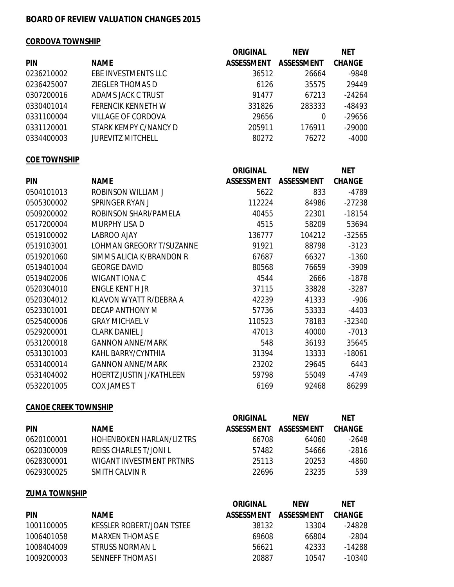### **BOARD OF REVIEW VALUATION CHANGES 2015**

### **CORDOVA TOWNSHIP**

|            |                           | <b>ORIGINAL</b>   | <b>NEW</b>        | <b>NET</b>    |
|------------|---------------------------|-------------------|-------------------|---------------|
| <b>PIN</b> | <b>NAME</b>               | <b>ASSESSMENT</b> | <b>ASSESSMENT</b> | <b>CHANGE</b> |
| 0236210002 | EBE INVESTMENTS LLC       | 36512             | 26664             | $-9848$       |
| 0236425007 | ZIEGLER THOMAS D          | 6126              | 35575             | 29449         |
| 0307200016 | ADAMS JACK C TRUST        | 91477             | 67213             | $-24264$      |
| 0330401014 | <b>FERENCIK KENNETH W</b> | 331826            | 283333            | $-48493$      |
| 0331100004 | <b>VILLAGE OF CORDOVA</b> | 29656             | 0                 | $-29656$      |
| 0331120001 | STARK KEMPY C/NANCY D     | 205911            | 176911            | $-29000$      |
| 0334400003 | <b>JUREVITZ MITCHELL</b>  | 80272             | 76272             | $-4000$       |

### **COE TOWNSHIP**

|            |                                 | <b>ORIGINAL</b>   | <b>NEW</b>        | <b>NET</b>    |
|------------|---------------------------------|-------------------|-------------------|---------------|
| <b>PIN</b> | <b>NAME</b>                     | <b>ASSESSMENT</b> | <b>ASSESSMENT</b> | <b>CHANGE</b> |
| 0504101013 | <b>ROBINSON WILLIAM J</b>       | 5622              | 833               | $-4789$       |
| 0505300002 | SPRINGER RYAN J                 | 112224            | 84986             | $-27238$      |
| 0509200002 | ROBINSON SHARI/PAMELA           | 40455             | 22301             | $-18154$      |
| 0517200004 | <b>MURPHY LISA D</b>            | 4515              | 58209             | 53694         |
| 0519100002 | <b>LABROO AJAY</b>              | 136777            | 104212            | $-32565$      |
| 0519103001 | LOHMAN GREGORY T/SUZANNE        | 91921             | 88798             | $-3123$       |
| 0519201060 | SIMMS ALICIA K/BRANDON R        | 67687             | 66327             | $-1360$       |
| 0519401004 | <b>GEORGE DAVID</b>             | 80568             | 76659             | $-3909$       |
| 0519402006 | <b>WIGANT IONA C</b>            | 4544              | 2666              | $-1878$       |
| 0520304010 | <b>ENGLE KENT H JR</b>          | 37115             | 33828             | $-3287$       |
| 0520304012 | KLAVON WYATT R/DEBRA A          | 42239             | 41333             | $-906$        |
| 0523301001 | <b>DECAP ANTHONY M</b>          | 57736             | 53333             | $-4403$       |
| 0525400006 | <b>GRAY MICHAEL V</b>           | 110523            | 78183             | $-32340$      |
| 0529200001 | <b>CLARK DANIEL J</b>           | 47013             | 40000             | $-7013$       |
| 0531200018 | <b>GANNON ANNE/MARK</b>         | 548               | 36193             | 35645         |
| 0531301003 | KAHL BARRY/CYNTHIA              | 31394             | 13333             | $-18061$      |
| 0531400014 | <b>GANNON ANNE/MARK</b>         | 23202             | 29645             | 6443          |
| 0531404002 | <b>HOERTZ JUSTIN J/KATHLEEN</b> | 59798             | 55049             | $-4749$       |
| 0532201005 | <b>COX JAMES T</b>              | 6169              | 92468             | 86299         |

#### **CANOE CREEK TOWNSHIP**

|            |                                  | <b>ORIGINAL</b>   | <b>NFW</b>        | <b>NET</b>    |
|------------|----------------------------------|-------------------|-------------------|---------------|
| <b>PIN</b> | <b>NAME</b>                      | <b>ASSESSMENT</b> | <b>ASSESSMENT</b> | <b>CHANGE</b> |
| 0620100001 | <b>HOHENBOKEN HARLAN/LIZ TRS</b> | 66708             | 64060             | -2648         |
| 0620300009 | REISS CHARLES T/JONLL            | 57482             | 54666             | -2816         |
| 0628300001 | WIGANT INVESTMENT PRTNRS         | 25113             | 20253             | -4860         |
| 0629300025 | SMITH CALVIN R                   | 22696             | 23235             | 539           |

### **ZUMA TOWNSHIP**

|            |                           | <b>ORIGINAL</b>   | <b>NFW</b>        | <b>NFT</b>    |
|------------|---------------------------|-------------------|-------------------|---------------|
| <b>PIN</b> | <b>NAME</b>               | <b>ASSESSMENT</b> | <b>ASSESSMENT</b> | <b>CHANGE</b> |
| 1001100005 | KESSLER ROBERT/JOAN TSTEE | 38132             | 13304             | -24828        |
| 1006401058 | MARXEN THOMAS F           | 69608             | 66804             | -2804         |
| 1008404009 | STRUSS NORMAN L           | 56621             | 42333             | $-14288$      |
| 1009200003 | <b>SENNEFF THOMAS I</b>   | 20887             | 10547             | -10340        |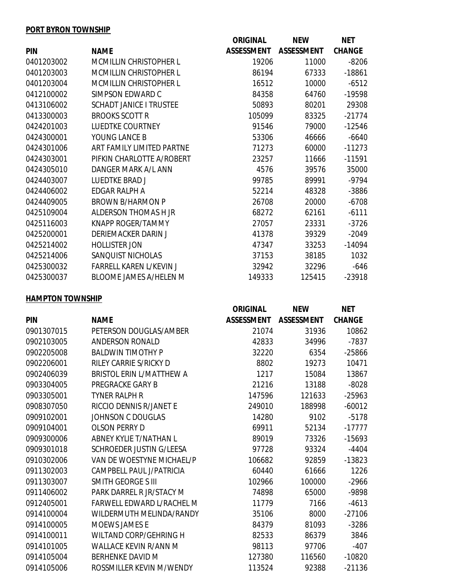### **PORT BYRON TOWNSHIP**

|            |                                | <b>ORIGINAL</b>   | <b>NEW</b>        | <b>NET</b>    |
|------------|--------------------------------|-------------------|-------------------|---------------|
| <b>PIN</b> | <b>NAME</b>                    | <b>ASSESSMENT</b> | <b>ASSESSMENT</b> | <b>CHANGE</b> |
| 0401203002 | <b>MCMILLIN CHRISTOPHER L</b>  | 19206             | 11000             | $-8206$       |
| 0401203003 | <b>MCMILLIN CHRISTOPHER L</b>  | 86194             | 67333             | $-18861$      |
| 0401203004 | <b>MCMILLIN CHRISTOPHER L</b>  | 16512             | 10000             | $-6512$       |
| 0412100002 | SIMPSON EDWARD C               | 84358             | 64760             | -19598        |
| 0413106002 | <b>SCHADT JANICE I TRUSTEE</b> | 50893             | 80201             | 29308         |
| 0413300003 | <b>BROOKS SCOTT R</b>          | 105099            | 83325             | $-21774$      |
| 0424201003 | <b>LUEDTKE COURTNEY</b>        | 91546             | 79000             | $-12546$      |
| 0424300001 | YOUNG LANCE B                  | 53306             | 46666             | $-6640$       |
| 0424301006 | ART FAMILY LIMITED PARTNE      | 71273             | 60000             | $-11273$      |
| 0424303001 | PIFKIN CHARLOTTE A/ROBERT      | 23257             | 11666             | $-11591$      |
| 0424305010 | DANGER MARK A/L ANN            | 4576              | 39576             | 35000         |
| 0424403007 | <b>LUEDTKE BRAD J</b>          | 99785             | 89991             | $-9794$       |
| 0424406002 | <b>EDGAR RALPH A</b>           | 52214             | 48328             | -3886         |
| 0424409005 | <b>BROWN B/HARMON P</b>        | 26708             | 20000             | $-6708$       |
| 0425109004 | ALDERSON THOMAS H JR           | 68272             | 62161             | $-6111$       |
| 0425116003 | <b>KNAPP ROGER/TAMMY</b>       | 27057             | 23331             | $-3726$       |
| 0425200001 | <b>DERIEMACKER DARIN J</b>     | 41378             | 39329             | $-2049$       |
| 0425214002 | <b>HOLLISTER JON</b>           | 47347             | 33253             | $-14094$      |
| 0425214006 | SANQUIST NICHOLAS              | 37153             | 38185             | 1032          |
| 0425300032 | <b>FARRELL KAREN L/KEVIN J</b> | 32942             | 32296             | $-646$        |
| 0425300037 | <b>BLOOME JAMES A/HELEN M</b>  | 149333            | 125415            | $-23918$      |

## **HAMPTON TOWNSHIP**

|            |                                  | <b>ORIGINAL</b>   | <b>NEW</b>        | <b>NET</b>    |
|------------|----------------------------------|-------------------|-------------------|---------------|
| <b>PIN</b> | <b>NAME</b>                      | <b>ASSESSMENT</b> | <b>ASSESSMENT</b> | <b>CHANGE</b> |
| 0901307015 | PETERSON DOUGLAS/AMBER           | 21074             | 31936             | 10862         |
| 0902103005 | <b>ANDERSON RONALD</b>           | 42833             | 34996             | $-7837$       |
| 0902205008 | <b>BALDWIN TIMOTHY P</b>         | 32220             | 6354              | $-25866$      |
| 0902206001 | <b>RILEY CARRIE S/RICKY D</b>    | 8802              | 19273             | 10471         |
| 0902406039 | <b>BRISTOL ERIN L/MATTHEW A</b>  | 1217              | 15084             | 13867         |
| 0903304005 | <b>PREGRACKE GARY B</b>          | 21216             | 13188             | $-8028$       |
| 0903305001 | <b>TYNER RALPH R</b>             | 147596            | 121633            | $-25963$      |
| 0908307050 | RICCIO DENNIS R/JANET E          | 249010            | 188998            | $-60012$      |
| 0909102001 | <b>JOHNSON C DOUGLAS</b>         | 14280             | 9102              | $-5178$       |
| 0909104001 | <b>OLSON PERRY D</b>             | 69911             | 52134             | $-17777$      |
| 0909300006 | <b>ABNEY KYLIE T/NATHAN L</b>    | 89019             | 73326             | $-15693$      |
| 0909301018 | <b>SCHROEDER JUSTIN G/LEESA</b>  | 97728             | 93324             | $-4404$       |
| 0910302006 | VAN DE WOESTYNE MICHAEL/P        | 106682            | 92859             | $-13823$      |
| 0911302003 | CAMPBELL PAUL J/PATRICIA         | 60440             | 61666             | 1226          |
| 0911303007 | <b>SMITH GEORGE S III</b>        | 102966            | 100000            | $-2966$       |
| 0911406002 | PARK DARREL R JR/STACY M         | 74898             | 65000             | -9898         |
| 0912405001 | <b>FARWELL EDWARD L/RACHEL M</b> | 11779             | 7166              | $-4613$       |
| 0914100004 | WILDERMUTH MELINDA/RANDY         | 35106             | 8000              | $-27106$      |
| 0914100005 | <b>MOEWS JAMES E</b>             | 84379             | 81093             | $-3286$       |
| 0914100011 | <b>WILTAND CORP/GEHRING H</b>    | 82533             | 86379             | 3846          |
| 0914101005 | <b>WALLACE KEVIN R/ANN M</b>     | 98113             | 97706             | $-407$        |
| 0914105004 | <b>BERHENKE DAVID M</b>          | 127380            | 116560            | $-10820$      |
| 0914105006 | ROSSMILLER KEVIN M/WENDY         | 113524            | 92388             | $-21136$      |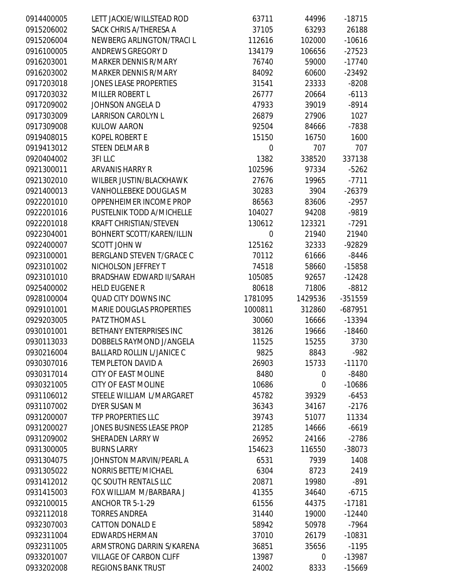| 0914400005 | LETT JACKIE/WILLSTEAD ROD        | 63711            | 44996       | $-18715$  |
|------------|----------------------------------|------------------|-------------|-----------|
| 0915206002 | SACK CHRIS A/THERESA A           | 37105            | 63293       | 26188     |
| 0915206004 | NEWBERG ARLINGTON/TRACI L        | 112616           | 102000      | $-10616$  |
| 0916100005 | <b>ANDREWS GREGORY D</b>         | 134179           | 106656      | $-27523$  |
| 0916203001 | <b>MARKER DENNIS R/MARY</b>      | 76740            | 59000       | $-17740$  |
| 0916203002 | <b>MARKER DENNIS R/MARY</b>      | 84092            | 60600       | $-23492$  |
| 0917203018 | <b>JONES LEASE PROPERTIES</b>    | 31541            | 23333       | $-8208$   |
| 0917203032 | <b>MILLER ROBERT L</b>           | 26777            | 20664       | $-6113$   |
| 0917209002 | JOHNSON ANGELA D                 | 47933            | 39019       | $-8914$   |
| 0917303009 | <b>LARRISON CAROLYN L</b>        | 26879            | 27906       | 1027      |
| 0917309008 | <b>KULOW AARON</b>               | 92504            | 84666       | $-7838$   |
| 0919408015 | <b>KOPEL ROBERT E</b>            | 15150            | 16750       | 1600      |
| 0919413012 | <b>STEEN DELMAR B</b>            | $\boldsymbol{0}$ | 707         | 707       |
| 0920404002 | 3FI LLC                          | 1382             | 338520      | 337138    |
| 0921300011 | <b>ARVANIS HARRY R</b>           | 102596           | 97334       | $-5262$   |
| 0921302010 | WILBER JUSTIN/BLACKHAWK          | 27676            | 19965       | $-7711$   |
| 0921400013 | VANHOLLEBEKE DOUGLAS M           | 30283            | 3904        | $-26379$  |
| 0922201010 | OPPENHEIMER INCOME PROP          | 86563            | 83606       | $-2957$   |
| 0922201016 | PUSTELNIK TODD A/MICHELLE        | 104027           | 94208       | -9819     |
| 0922201018 | <b>KRAFT CHRISTIAN/STEVEN</b>    | 130612           | 123321      | $-7291$   |
| 0922304001 | BOHNERT SCOTT/KAREN/ILLIN        | $\boldsymbol{0}$ | 21940       | 21940     |
| 0922400007 | <b>SCOTT JOHN W</b>              | 125162           | 32333       | -92829    |
| 0923100001 | BERGLAND STEVEN T/GRACE C        | 70112            | 61666       | $-8446$   |
| 0923101002 | NICHOLSON JEFFREY T              | 74518            | 58660       | $-15858$  |
| 0923101010 | <b>BRADSHAW EDWARD II/SARAH</b>  | 105085           | 92657       | $-12428$  |
| 0925400002 | <b>HELD EUGENE R</b>             | 80618            | 71806       | $-8812$   |
| 0928100004 | QUAD CITY DOWNS INC              | 1781095          | 1429536     | -351559   |
| 0929101001 | <b>MARIE DOUGLAS PROPERTIES</b>  | 1000811          | 312860      | $-687951$ |
| 0929203005 | PATZ THOMAS L                    | 30060            | 16666       | -13394    |
| 0930101001 | BETHANY ENTERPRISES INC          | 38126            | 19666       | $-18460$  |
| 0930113033 | DOBBELS RAYMOND J/ANGELA         | 11525            | 15255       | 3730      |
| 0930216004 | <b>BALLARD ROLLIN L/JANICE C</b> | 9825             | 8843        | $-982$    |
| 0930307016 | <b>TEMPLETON DAVID A</b>         | 26903            | 15733       | $-11170$  |
| 0930317014 | <b>CITY OF EAST MOLINE</b>       | 8480             | 0           | $-8480$   |
| 0930321005 | <b>CITY OF EAST MOLINE</b>       | 10686            | 0           | $-10686$  |
| 0931106012 | STEELE WILLIAM L/MARGARET        | 45782            | 39329       | $-6453$   |
| 0931107002 | <b>DYER SUSAN M</b>              | 36343            | 34167       | $-2176$   |
| 0931200007 | <b>TFP PROPERTIES LLC</b>        | 39743            | 51077       | 11334     |
| 0931200027 | JONES BUSINESS LEASE PROP        | 21285            | 14666       | $-6619$   |
| 0931209002 | SHERADEN LARRY W                 | 26952            | 24166       | $-2786$   |
| 0931300005 | <b>BURNS LARRY</b>               | 154623           | 116550      | $-38073$  |
| 0931304075 | JOHNSTON MARVIN/PEARL A          | 6531             | 7939        | 1408      |
| 0931305022 | <b>NORRIS BETTE/MICHAEL</b>      | 6304             | 8723        | 2419      |
| 0931412012 | QC SOUTH RENTALS LLC             | 20871            | 19980       | $-891$    |
| 0931415003 | FOX WILLIAM M/BARBARA J          | 41355            | 34640       | $-6715$   |
| 0932100015 | ANCHOR TR 5-1-29                 | 61556            | 44375       | $-17181$  |
| 0932112018 | <b>TORRES ANDREA</b>             | 31440            | 19000       | $-12440$  |
| 0932307003 | <b>CATTON DONALD E</b>           | 58942            | 50978       | $-7964$   |
| 0932311004 | <b>EDWARDS HERMAN</b>            | 37010            | 26179       | $-10831$  |
| 0932311005 | ARMSTRONG DARRIN S/KARENA        | 36851            | 35656       | $-1195$   |
| 0933201007 | <b>VILLAGE OF CARBON CLIFF</b>   | 13987            | $\mathbf 0$ | -13987    |
| 0933202008 | <b>REGIONS BANK TRUST</b>        | 24002            | 8333        | $-15669$  |
|            |                                  |                  |             |           |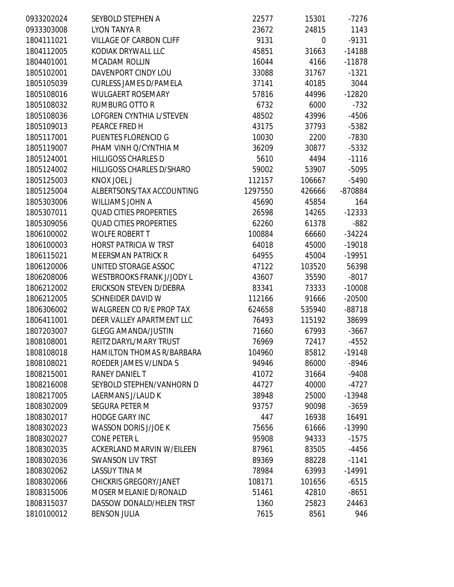| 0933202024 | SEYBOLD STEPHEN A                | 22577   | 15301       | $-7276$  |
|------------|----------------------------------|---------|-------------|----------|
| 0933303008 | <b>LYON TANYA R</b>              | 23672   | 24815       | 1143     |
| 1804111021 | <b>VILLAGE OF CARBON CLIFF</b>   | 9131    | $\mathbf 0$ | $-9131$  |
| 1804112005 | KODIAK DRYWALL LLC               | 45851   | 31663       | $-14188$ |
| 1804401001 | <b>MCADAM ROLLIN</b>             | 16044   | 4166        | $-11878$ |
| 1805102001 | DAVENPORT CINDY LOU              | 33088   | 31767       | $-1321$  |
| 1805105039 | <b>CURLESS JAMES D/PAMELA</b>    | 37141   | 40185       | 3044     |
| 1805108016 | <b>WULGAERT ROSEMARY</b>         | 57816   | 44996       | $-12820$ |
| 1805108032 | <b>RUMBURG OTTO R</b>            | 6732    | 6000        | $-732$   |
| 1805108036 | <b>LOFGREN CYNTHIA L/STEVEN</b>  | 48502   | 43996       | $-4506$  |
| 1805109013 | PEARCE FRED H                    | 43175   | 37793       | $-5382$  |
| 1805117001 | PUENTES FLORENCIO G              | 10030   | 2200        | $-7830$  |
| 1805119007 | PHAM VINH Q/CYNTHIA M            | 36209   | 30877       | $-5332$  |
| 1805124001 | <b>HILLIGOSS CHARLES D</b>       | 5610    | 4494        | $-1116$  |
| 1805124002 | HILLIGOSS CHARLES D/SHARO        | 59002   | 53907       | $-5095$  |
| 1805125003 | <b>KNOX JOEL J</b>               | 112157  | 106667      | $-5490$  |
| 1805125004 | ALBERTSONS/TAX ACCOUNTING        | 1297550 | 426666      | -870884  |
| 1805303006 | <b>WILLIAMS JOHN A</b>           | 45690   | 45854       | 164      |
| 1805307011 | <b>QUAD CITIES PROPERTIES</b>    | 26598   | 14265       | $-12333$ |
| 1805309056 | <b>QUAD CITIES PROPERTIES</b>    | 62260   | 61378       | $-882$   |
| 1806100002 | <b>WOLFE ROBERT T</b>            | 100884  | 66660       | $-34224$ |
| 1806100003 | <b>HORST PATRICIA W TRST</b>     | 64018   | 45000       | $-19018$ |
| 1806115021 | <b>MEERSMAN PATRICK R</b>        | 64955   | 45004       | $-19951$ |
| 1806120006 | UNITED STORAGE ASSOC             | 47122   | 103520      | 56398    |
| 1806208006 | <b>WESTBROOKS FRANK J/JODY L</b> | 43607   | 35590       | $-8017$  |
| 1806212002 | ERICKSON STEVEN D/DEBRA          | 83341   | 73333       | $-10008$ |
| 1806212005 | <b>SCHNEIDER DAVID W</b>         | 112166  | 91666       | $-20500$ |
| 1806306002 | <b>WALGREEN CO R/E PROP TAX</b>  | 624658  | 535940      | $-88718$ |
| 1806411001 | DEER VALLEY APARTMENT LLC        | 76493   | 115192      | 38699    |
| 1807203007 | <b>GLEGG AMANDA/JUSTIN</b>       | 71660   | 67993       | $-3667$  |
| 1808108001 | REITZ DARYL/MARY TRUST           | 76969   | 72417       | $-4552$  |
| 1808108018 | HAMILTON THOMAS R/BARBARA        | 104960  | 85812       | $-19148$ |
| 1808108021 | ROEDER JAMES V/LINDA S           | 94946   | 86000       | $-8946$  |
| 1808215001 | RANEY DANIEL T                   | 41072   | 31664       | $-9408$  |
| 1808216008 | SEYBOLD STEPHEN/VANHORN D        | 44727   | 40000       | $-4727$  |
| 1808217005 | <b>LAERMANS J/LAUD K</b>         | 38948   | 25000       | -13948   |
| 1808302009 | <b>SEGURA PETER M</b>            | 93757   | 90098       | $-3659$  |
| 1808302017 | <b>HODGE GARY INC</b>            | 447     | 16938       | 16491    |
| 1808302023 | <b>WASSON DORIS J/JOE K</b>      | 75656   | 61666       | -13990   |
| 1808302027 | <b>CONE PETER L</b>              | 95908   | 94333       | $-1575$  |
| 1808302035 | <b>ACKERLAND MARVIN W/EILEEN</b> | 87961   | 83505       | $-4456$  |
| 1808302036 | <b>SWANSON LIV TRST</b>          | 89369   | 88228       | $-1141$  |
| 1808302062 | <b>LASSUY TINA M</b>             | 78984   | 63993       | $-14991$ |
| 1808302066 | <b>CHICKRIS GREGORY/JANET</b>    | 108171  | 101656      | $-6515$  |
| 1808315006 | MOSER MELANIE D/RONALD           | 51461   | 42810       | $-8651$  |
| 1808315037 | DASSOW DONALD/HELEN TRST         | 1360    | 25823       | 24463    |
| 1810100012 | <b>BENSON JULIA</b>              | 7615    | 8561        | 946      |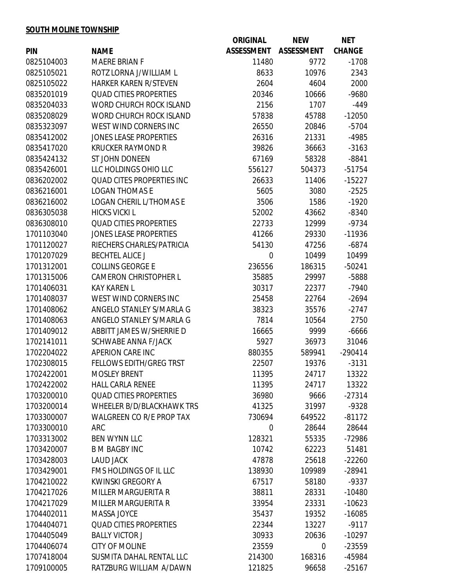# **SOUTH MOLINE TOWNSHIP**

| <b>ASSESSMENT</b><br><b>ASSESSMENT</b><br><b>CHANGE</b><br><b>PIN</b><br><b>NAME</b><br>0825104003<br><b>MAERE BRIAN F</b><br>11480<br>9772<br>$-1708$<br>ROTZ LORNA J/WILLIAM L<br>2343<br>0825105021<br>8633<br>10976<br><b>HARKER KAREN R/STEVEN</b><br>0825105022<br>2604<br>4604<br>2000<br><b>QUAD CITIES PROPERTIES</b><br>0835201019<br>20346<br>$-9680$<br>10666<br><b>WORD CHURCH ROCK ISLAND</b><br>0835204033<br>2156<br>1707<br>$-449$<br>0835208029<br><b>WORD CHURCH ROCK ISLAND</b><br>57838<br>$-12050$<br>45788<br>WEST WIND CORNERS INC<br>$-5704$<br>0835323097<br>26550<br>20846<br>0835412002<br><b>JONES LEASE PROPERTIES</b><br>26316<br>21331<br>-4985<br>$-3163$<br>0835417020<br><b>KRUCKER RAYMOND R</b><br>39826<br>36663<br>0835424132<br>ST JOHN DONEEN<br>67169<br>58328<br>$-8841$<br>LLC HOLDINGS OHIO LLC<br>0835426001<br>556127<br>$-51754$<br>504373<br><b>QUAD CITES PROPERTIES INC</b><br>$-15227$<br>11406<br>0836202002<br>26633<br><b>LOGAN THOMAS E</b><br>0836216001<br>5605<br>3080<br>$-2525$<br><b>LOGAN CHERIL L/THOMAS E</b><br>3506<br>$-1920$<br>0836216002<br>1586<br>0836305038<br><b>HICKS VICKI L</b><br>52002<br>$-8340$<br>43662<br><b>QUAD CITIES PROPERTIES</b><br>0836308010<br>22733<br>$-9734$<br>12999<br><b>JONES LEASE PROPERTIES</b><br>1701103040<br>$-11936$<br>41266<br>29330<br>RIECHERS CHARLES/PATRICIA<br>$-6874$<br>1701120027<br>54130<br>47256<br>1701207029<br><b>BECHTEL ALICE J</b><br>$\boldsymbol{0}$<br>10499<br>10499<br>1701312001<br><b>COLLINS GEORGE E</b><br>236556<br>186315<br>$-50241$<br>$-5888$<br>1701315006<br><b>CAMERON CHRISTOPHER L</b><br>35885<br>29997<br>1701406031<br><b>KAY KAREN L</b><br>$-7940$<br>30317<br>22377<br>WEST WIND CORNERS INC<br>1701408037<br>22764<br>$-2694$<br>25458<br>ANGELO STANLEY S/MARLA G<br>1701408062<br>38323<br>$-2747$<br>35576<br>1701408063<br>ANGELO STANLEY S/MARLA G<br>2750<br>7814<br>10564<br><b>ABBITT JAMES W/SHERRIE D</b><br>16665<br>$-6666$<br>1701409012<br>9999<br>SCHWABE ANNA F/JACK<br>1702141011<br>5927<br>31046<br>36973<br>APERION CARE INC<br>$-290414$<br>1702204022<br>880355<br>589941<br>1702308015<br><b>FELLOWS EDITH/GREG TRST</b><br>22507<br>19376<br>$-3131$<br><b>MOSLEY BRENT</b><br>1702422001<br>11395<br>13322<br>24717<br><b>HALL CARLA RENEE</b><br>13322<br>1702422002<br>11395<br>24717<br><b>QUAD CITIES PROPERTIES</b><br>1703200010<br>36980<br>$-27314$<br>9666<br>$-9328$<br>1703200014<br>WHEELER B/D/BLACKHAWK TRS<br>31997<br>41325<br>1703300007<br><b>WALGREEN CO R/E PROP TAX</b><br>730694<br>649522<br>$-81172$<br>28644<br>1703300010<br><b>ARC</b><br>28644<br>$\mathbf 0$<br>1703313002<br><b>BEN WYNN LLC</b><br>128321<br>-72986<br>55335<br>51481<br>1703420007<br><b>B M BAGBY INC</b><br>10742<br>62223<br>1703428003<br><b>LAUD JACK</b><br>47878<br>25618<br>$-22260$<br>FMS HOLDINGS OF IL LLC<br>1703429001<br>138930<br>$-28941$<br>109989<br>$-9337$<br>1704210022<br><b>KWINSKI GREGORY A</b><br>67517<br>58180<br>1704217026<br><b>MILLER MARGUERITA R</b><br>$-10480$<br>38811<br>28331<br>1704217029<br><b>MILLER MARGUERITA R</b><br>33954<br>$-10623$<br>23331<br>1704402011<br>MASSA JOYCE<br>$-16085$<br>35437<br>19352<br>1704404071<br><b>QUAD CITIES PROPERTIES</b><br>13227<br>$-9117$<br>22344<br>1704405049<br><b>BALLY VICTOR J</b><br>30933<br>20636<br>$-10297$<br><b>CITY OF MOLINE</b><br>1704406074<br>23559<br>$-23559$<br>$\mathbf 0$<br>SUSMITA DAHAL RENTAL LLC<br>1707418004<br>168316<br>-45984<br>214300 |            |                         | <b>ORIGINAL</b> | <b>NEW</b> | <b>NET</b> |
|-----------------------------------------------------------------------------------------------------------------------------------------------------------------------------------------------------------------------------------------------------------------------------------------------------------------------------------------------------------------------------------------------------------------------------------------------------------------------------------------------------------------------------------------------------------------------------------------------------------------------------------------------------------------------------------------------------------------------------------------------------------------------------------------------------------------------------------------------------------------------------------------------------------------------------------------------------------------------------------------------------------------------------------------------------------------------------------------------------------------------------------------------------------------------------------------------------------------------------------------------------------------------------------------------------------------------------------------------------------------------------------------------------------------------------------------------------------------------------------------------------------------------------------------------------------------------------------------------------------------------------------------------------------------------------------------------------------------------------------------------------------------------------------------------------------------------------------------------------------------------------------------------------------------------------------------------------------------------------------------------------------------------------------------------------------------------------------------------------------------------------------------------------------------------------------------------------------------------------------------------------------------------------------------------------------------------------------------------------------------------------------------------------------------------------------------------------------------------------------------------------------------------------------------------------------------------------------------------------------------------------------------------------------------------------------------------------------------------------------------------------------------------------------------------------------------------------------------------------------------------------------------------------------------------------------------------------------------------------------------------------------------------------------------------------------------------------------------------------------------------------------------------------------------------------------------------------------------------------------------------------------------------------------------------------------------------------------------------------------------------------------------------------------------------------------------------------------------------------------------------------------------------------------------------------|------------|-------------------------|-----------------|------------|------------|
|                                                                                                                                                                                                                                                                                                                                                                                                                                                                                                                                                                                                                                                                                                                                                                                                                                                                                                                                                                                                                                                                                                                                                                                                                                                                                                                                                                                                                                                                                                                                                                                                                                                                                                                                                                                                                                                                                                                                                                                                                                                                                                                                                                                                                                                                                                                                                                                                                                                                                                                                                                                                                                                                                                                                                                                                                                                                                                                                                                                                                                                                                                                                                                                                                                                                                                                                                                                                                                                                                                                                                     |            |                         |                 |            |            |
|                                                                                                                                                                                                                                                                                                                                                                                                                                                                                                                                                                                                                                                                                                                                                                                                                                                                                                                                                                                                                                                                                                                                                                                                                                                                                                                                                                                                                                                                                                                                                                                                                                                                                                                                                                                                                                                                                                                                                                                                                                                                                                                                                                                                                                                                                                                                                                                                                                                                                                                                                                                                                                                                                                                                                                                                                                                                                                                                                                                                                                                                                                                                                                                                                                                                                                                                                                                                                                                                                                                                                     |            |                         |                 |            |            |
|                                                                                                                                                                                                                                                                                                                                                                                                                                                                                                                                                                                                                                                                                                                                                                                                                                                                                                                                                                                                                                                                                                                                                                                                                                                                                                                                                                                                                                                                                                                                                                                                                                                                                                                                                                                                                                                                                                                                                                                                                                                                                                                                                                                                                                                                                                                                                                                                                                                                                                                                                                                                                                                                                                                                                                                                                                                                                                                                                                                                                                                                                                                                                                                                                                                                                                                                                                                                                                                                                                                                                     |            |                         |                 |            |            |
|                                                                                                                                                                                                                                                                                                                                                                                                                                                                                                                                                                                                                                                                                                                                                                                                                                                                                                                                                                                                                                                                                                                                                                                                                                                                                                                                                                                                                                                                                                                                                                                                                                                                                                                                                                                                                                                                                                                                                                                                                                                                                                                                                                                                                                                                                                                                                                                                                                                                                                                                                                                                                                                                                                                                                                                                                                                                                                                                                                                                                                                                                                                                                                                                                                                                                                                                                                                                                                                                                                                                                     |            |                         |                 |            |            |
|                                                                                                                                                                                                                                                                                                                                                                                                                                                                                                                                                                                                                                                                                                                                                                                                                                                                                                                                                                                                                                                                                                                                                                                                                                                                                                                                                                                                                                                                                                                                                                                                                                                                                                                                                                                                                                                                                                                                                                                                                                                                                                                                                                                                                                                                                                                                                                                                                                                                                                                                                                                                                                                                                                                                                                                                                                                                                                                                                                                                                                                                                                                                                                                                                                                                                                                                                                                                                                                                                                                                                     |            |                         |                 |            |            |
|                                                                                                                                                                                                                                                                                                                                                                                                                                                                                                                                                                                                                                                                                                                                                                                                                                                                                                                                                                                                                                                                                                                                                                                                                                                                                                                                                                                                                                                                                                                                                                                                                                                                                                                                                                                                                                                                                                                                                                                                                                                                                                                                                                                                                                                                                                                                                                                                                                                                                                                                                                                                                                                                                                                                                                                                                                                                                                                                                                                                                                                                                                                                                                                                                                                                                                                                                                                                                                                                                                                                                     |            |                         |                 |            |            |
|                                                                                                                                                                                                                                                                                                                                                                                                                                                                                                                                                                                                                                                                                                                                                                                                                                                                                                                                                                                                                                                                                                                                                                                                                                                                                                                                                                                                                                                                                                                                                                                                                                                                                                                                                                                                                                                                                                                                                                                                                                                                                                                                                                                                                                                                                                                                                                                                                                                                                                                                                                                                                                                                                                                                                                                                                                                                                                                                                                                                                                                                                                                                                                                                                                                                                                                                                                                                                                                                                                                                                     |            |                         |                 |            |            |
|                                                                                                                                                                                                                                                                                                                                                                                                                                                                                                                                                                                                                                                                                                                                                                                                                                                                                                                                                                                                                                                                                                                                                                                                                                                                                                                                                                                                                                                                                                                                                                                                                                                                                                                                                                                                                                                                                                                                                                                                                                                                                                                                                                                                                                                                                                                                                                                                                                                                                                                                                                                                                                                                                                                                                                                                                                                                                                                                                                                                                                                                                                                                                                                                                                                                                                                                                                                                                                                                                                                                                     |            |                         |                 |            |            |
|                                                                                                                                                                                                                                                                                                                                                                                                                                                                                                                                                                                                                                                                                                                                                                                                                                                                                                                                                                                                                                                                                                                                                                                                                                                                                                                                                                                                                                                                                                                                                                                                                                                                                                                                                                                                                                                                                                                                                                                                                                                                                                                                                                                                                                                                                                                                                                                                                                                                                                                                                                                                                                                                                                                                                                                                                                                                                                                                                                                                                                                                                                                                                                                                                                                                                                                                                                                                                                                                                                                                                     |            |                         |                 |            |            |
|                                                                                                                                                                                                                                                                                                                                                                                                                                                                                                                                                                                                                                                                                                                                                                                                                                                                                                                                                                                                                                                                                                                                                                                                                                                                                                                                                                                                                                                                                                                                                                                                                                                                                                                                                                                                                                                                                                                                                                                                                                                                                                                                                                                                                                                                                                                                                                                                                                                                                                                                                                                                                                                                                                                                                                                                                                                                                                                                                                                                                                                                                                                                                                                                                                                                                                                                                                                                                                                                                                                                                     |            |                         |                 |            |            |
|                                                                                                                                                                                                                                                                                                                                                                                                                                                                                                                                                                                                                                                                                                                                                                                                                                                                                                                                                                                                                                                                                                                                                                                                                                                                                                                                                                                                                                                                                                                                                                                                                                                                                                                                                                                                                                                                                                                                                                                                                                                                                                                                                                                                                                                                                                                                                                                                                                                                                                                                                                                                                                                                                                                                                                                                                                                                                                                                                                                                                                                                                                                                                                                                                                                                                                                                                                                                                                                                                                                                                     |            |                         |                 |            |            |
|                                                                                                                                                                                                                                                                                                                                                                                                                                                                                                                                                                                                                                                                                                                                                                                                                                                                                                                                                                                                                                                                                                                                                                                                                                                                                                                                                                                                                                                                                                                                                                                                                                                                                                                                                                                                                                                                                                                                                                                                                                                                                                                                                                                                                                                                                                                                                                                                                                                                                                                                                                                                                                                                                                                                                                                                                                                                                                                                                                                                                                                                                                                                                                                                                                                                                                                                                                                                                                                                                                                                                     |            |                         |                 |            |            |
|                                                                                                                                                                                                                                                                                                                                                                                                                                                                                                                                                                                                                                                                                                                                                                                                                                                                                                                                                                                                                                                                                                                                                                                                                                                                                                                                                                                                                                                                                                                                                                                                                                                                                                                                                                                                                                                                                                                                                                                                                                                                                                                                                                                                                                                                                                                                                                                                                                                                                                                                                                                                                                                                                                                                                                                                                                                                                                                                                                                                                                                                                                                                                                                                                                                                                                                                                                                                                                                                                                                                                     |            |                         |                 |            |            |
|                                                                                                                                                                                                                                                                                                                                                                                                                                                                                                                                                                                                                                                                                                                                                                                                                                                                                                                                                                                                                                                                                                                                                                                                                                                                                                                                                                                                                                                                                                                                                                                                                                                                                                                                                                                                                                                                                                                                                                                                                                                                                                                                                                                                                                                                                                                                                                                                                                                                                                                                                                                                                                                                                                                                                                                                                                                                                                                                                                                                                                                                                                                                                                                                                                                                                                                                                                                                                                                                                                                                                     |            |                         |                 |            |            |
|                                                                                                                                                                                                                                                                                                                                                                                                                                                                                                                                                                                                                                                                                                                                                                                                                                                                                                                                                                                                                                                                                                                                                                                                                                                                                                                                                                                                                                                                                                                                                                                                                                                                                                                                                                                                                                                                                                                                                                                                                                                                                                                                                                                                                                                                                                                                                                                                                                                                                                                                                                                                                                                                                                                                                                                                                                                                                                                                                                                                                                                                                                                                                                                                                                                                                                                                                                                                                                                                                                                                                     |            |                         |                 |            |            |
|                                                                                                                                                                                                                                                                                                                                                                                                                                                                                                                                                                                                                                                                                                                                                                                                                                                                                                                                                                                                                                                                                                                                                                                                                                                                                                                                                                                                                                                                                                                                                                                                                                                                                                                                                                                                                                                                                                                                                                                                                                                                                                                                                                                                                                                                                                                                                                                                                                                                                                                                                                                                                                                                                                                                                                                                                                                                                                                                                                                                                                                                                                                                                                                                                                                                                                                                                                                                                                                                                                                                                     |            |                         |                 |            |            |
|                                                                                                                                                                                                                                                                                                                                                                                                                                                                                                                                                                                                                                                                                                                                                                                                                                                                                                                                                                                                                                                                                                                                                                                                                                                                                                                                                                                                                                                                                                                                                                                                                                                                                                                                                                                                                                                                                                                                                                                                                                                                                                                                                                                                                                                                                                                                                                                                                                                                                                                                                                                                                                                                                                                                                                                                                                                                                                                                                                                                                                                                                                                                                                                                                                                                                                                                                                                                                                                                                                                                                     |            |                         |                 |            |            |
|                                                                                                                                                                                                                                                                                                                                                                                                                                                                                                                                                                                                                                                                                                                                                                                                                                                                                                                                                                                                                                                                                                                                                                                                                                                                                                                                                                                                                                                                                                                                                                                                                                                                                                                                                                                                                                                                                                                                                                                                                                                                                                                                                                                                                                                                                                                                                                                                                                                                                                                                                                                                                                                                                                                                                                                                                                                                                                                                                                                                                                                                                                                                                                                                                                                                                                                                                                                                                                                                                                                                                     |            |                         |                 |            |            |
|                                                                                                                                                                                                                                                                                                                                                                                                                                                                                                                                                                                                                                                                                                                                                                                                                                                                                                                                                                                                                                                                                                                                                                                                                                                                                                                                                                                                                                                                                                                                                                                                                                                                                                                                                                                                                                                                                                                                                                                                                                                                                                                                                                                                                                                                                                                                                                                                                                                                                                                                                                                                                                                                                                                                                                                                                                                                                                                                                                                                                                                                                                                                                                                                                                                                                                                                                                                                                                                                                                                                                     |            |                         |                 |            |            |
|                                                                                                                                                                                                                                                                                                                                                                                                                                                                                                                                                                                                                                                                                                                                                                                                                                                                                                                                                                                                                                                                                                                                                                                                                                                                                                                                                                                                                                                                                                                                                                                                                                                                                                                                                                                                                                                                                                                                                                                                                                                                                                                                                                                                                                                                                                                                                                                                                                                                                                                                                                                                                                                                                                                                                                                                                                                                                                                                                                                                                                                                                                                                                                                                                                                                                                                                                                                                                                                                                                                                                     |            |                         |                 |            |            |
|                                                                                                                                                                                                                                                                                                                                                                                                                                                                                                                                                                                                                                                                                                                                                                                                                                                                                                                                                                                                                                                                                                                                                                                                                                                                                                                                                                                                                                                                                                                                                                                                                                                                                                                                                                                                                                                                                                                                                                                                                                                                                                                                                                                                                                                                                                                                                                                                                                                                                                                                                                                                                                                                                                                                                                                                                                                                                                                                                                                                                                                                                                                                                                                                                                                                                                                                                                                                                                                                                                                                                     |            |                         |                 |            |            |
|                                                                                                                                                                                                                                                                                                                                                                                                                                                                                                                                                                                                                                                                                                                                                                                                                                                                                                                                                                                                                                                                                                                                                                                                                                                                                                                                                                                                                                                                                                                                                                                                                                                                                                                                                                                                                                                                                                                                                                                                                                                                                                                                                                                                                                                                                                                                                                                                                                                                                                                                                                                                                                                                                                                                                                                                                                                                                                                                                                                                                                                                                                                                                                                                                                                                                                                                                                                                                                                                                                                                                     |            |                         |                 |            |            |
|                                                                                                                                                                                                                                                                                                                                                                                                                                                                                                                                                                                                                                                                                                                                                                                                                                                                                                                                                                                                                                                                                                                                                                                                                                                                                                                                                                                                                                                                                                                                                                                                                                                                                                                                                                                                                                                                                                                                                                                                                                                                                                                                                                                                                                                                                                                                                                                                                                                                                                                                                                                                                                                                                                                                                                                                                                                                                                                                                                                                                                                                                                                                                                                                                                                                                                                                                                                                                                                                                                                                                     |            |                         |                 |            |            |
|                                                                                                                                                                                                                                                                                                                                                                                                                                                                                                                                                                                                                                                                                                                                                                                                                                                                                                                                                                                                                                                                                                                                                                                                                                                                                                                                                                                                                                                                                                                                                                                                                                                                                                                                                                                                                                                                                                                                                                                                                                                                                                                                                                                                                                                                                                                                                                                                                                                                                                                                                                                                                                                                                                                                                                                                                                                                                                                                                                                                                                                                                                                                                                                                                                                                                                                                                                                                                                                                                                                                                     |            |                         |                 |            |            |
|                                                                                                                                                                                                                                                                                                                                                                                                                                                                                                                                                                                                                                                                                                                                                                                                                                                                                                                                                                                                                                                                                                                                                                                                                                                                                                                                                                                                                                                                                                                                                                                                                                                                                                                                                                                                                                                                                                                                                                                                                                                                                                                                                                                                                                                                                                                                                                                                                                                                                                                                                                                                                                                                                                                                                                                                                                                                                                                                                                                                                                                                                                                                                                                                                                                                                                                                                                                                                                                                                                                                                     |            |                         |                 |            |            |
|                                                                                                                                                                                                                                                                                                                                                                                                                                                                                                                                                                                                                                                                                                                                                                                                                                                                                                                                                                                                                                                                                                                                                                                                                                                                                                                                                                                                                                                                                                                                                                                                                                                                                                                                                                                                                                                                                                                                                                                                                                                                                                                                                                                                                                                                                                                                                                                                                                                                                                                                                                                                                                                                                                                                                                                                                                                                                                                                                                                                                                                                                                                                                                                                                                                                                                                                                                                                                                                                                                                                                     |            |                         |                 |            |            |
|                                                                                                                                                                                                                                                                                                                                                                                                                                                                                                                                                                                                                                                                                                                                                                                                                                                                                                                                                                                                                                                                                                                                                                                                                                                                                                                                                                                                                                                                                                                                                                                                                                                                                                                                                                                                                                                                                                                                                                                                                                                                                                                                                                                                                                                                                                                                                                                                                                                                                                                                                                                                                                                                                                                                                                                                                                                                                                                                                                                                                                                                                                                                                                                                                                                                                                                                                                                                                                                                                                                                                     |            |                         |                 |            |            |
|                                                                                                                                                                                                                                                                                                                                                                                                                                                                                                                                                                                                                                                                                                                                                                                                                                                                                                                                                                                                                                                                                                                                                                                                                                                                                                                                                                                                                                                                                                                                                                                                                                                                                                                                                                                                                                                                                                                                                                                                                                                                                                                                                                                                                                                                                                                                                                                                                                                                                                                                                                                                                                                                                                                                                                                                                                                                                                                                                                                                                                                                                                                                                                                                                                                                                                                                                                                                                                                                                                                                                     |            |                         |                 |            |            |
|                                                                                                                                                                                                                                                                                                                                                                                                                                                                                                                                                                                                                                                                                                                                                                                                                                                                                                                                                                                                                                                                                                                                                                                                                                                                                                                                                                                                                                                                                                                                                                                                                                                                                                                                                                                                                                                                                                                                                                                                                                                                                                                                                                                                                                                                                                                                                                                                                                                                                                                                                                                                                                                                                                                                                                                                                                                                                                                                                                                                                                                                                                                                                                                                                                                                                                                                                                                                                                                                                                                                                     |            |                         |                 |            |            |
|                                                                                                                                                                                                                                                                                                                                                                                                                                                                                                                                                                                                                                                                                                                                                                                                                                                                                                                                                                                                                                                                                                                                                                                                                                                                                                                                                                                                                                                                                                                                                                                                                                                                                                                                                                                                                                                                                                                                                                                                                                                                                                                                                                                                                                                                                                                                                                                                                                                                                                                                                                                                                                                                                                                                                                                                                                                                                                                                                                                                                                                                                                                                                                                                                                                                                                                                                                                                                                                                                                                                                     |            |                         |                 |            |            |
|                                                                                                                                                                                                                                                                                                                                                                                                                                                                                                                                                                                                                                                                                                                                                                                                                                                                                                                                                                                                                                                                                                                                                                                                                                                                                                                                                                                                                                                                                                                                                                                                                                                                                                                                                                                                                                                                                                                                                                                                                                                                                                                                                                                                                                                                                                                                                                                                                                                                                                                                                                                                                                                                                                                                                                                                                                                                                                                                                                                                                                                                                                                                                                                                                                                                                                                                                                                                                                                                                                                                                     |            |                         |                 |            |            |
|                                                                                                                                                                                                                                                                                                                                                                                                                                                                                                                                                                                                                                                                                                                                                                                                                                                                                                                                                                                                                                                                                                                                                                                                                                                                                                                                                                                                                                                                                                                                                                                                                                                                                                                                                                                                                                                                                                                                                                                                                                                                                                                                                                                                                                                                                                                                                                                                                                                                                                                                                                                                                                                                                                                                                                                                                                                                                                                                                                                                                                                                                                                                                                                                                                                                                                                                                                                                                                                                                                                                                     |            |                         |                 |            |            |
|                                                                                                                                                                                                                                                                                                                                                                                                                                                                                                                                                                                                                                                                                                                                                                                                                                                                                                                                                                                                                                                                                                                                                                                                                                                                                                                                                                                                                                                                                                                                                                                                                                                                                                                                                                                                                                                                                                                                                                                                                                                                                                                                                                                                                                                                                                                                                                                                                                                                                                                                                                                                                                                                                                                                                                                                                                                                                                                                                                                                                                                                                                                                                                                                                                                                                                                                                                                                                                                                                                                                                     |            |                         |                 |            |            |
|                                                                                                                                                                                                                                                                                                                                                                                                                                                                                                                                                                                                                                                                                                                                                                                                                                                                                                                                                                                                                                                                                                                                                                                                                                                                                                                                                                                                                                                                                                                                                                                                                                                                                                                                                                                                                                                                                                                                                                                                                                                                                                                                                                                                                                                                                                                                                                                                                                                                                                                                                                                                                                                                                                                                                                                                                                                                                                                                                                                                                                                                                                                                                                                                                                                                                                                                                                                                                                                                                                                                                     |            |                         |                 |            |            |
|                                                                                                                                                                                                                                                                                                                                                                                                                                                                                                                                                                                                                                                                                                                                                                                                                                                                                                                                                                                                                                                                                                                                                                                                                                                                                                                                                                                                                                                                                                                                                                                                                                                                                                                                                                                                                                                                                                                                                                                                                                                                                                                                                                                                                                                                                                                                                                                                                                                                                                                                                                                                                                                                                                                                                                                                                                                                                                                                                                                                                                                                                                                                                                                                                                                                                                                                                                                                                                                                                                                                                     |            |                         |                 |            |            |
|                                                                                                                                                                                                                                                                                                                                                                                                                                                                                                                                                                                                                                                                                                                                                                                                                                                                                                                                                                                                                                                                                                                                                                                                                                                                                                                                                                                                                                                                                                                                                                                                                                                                                                                                                                                                                                                                                                                                                                                                                                                                                                                                                                                                                                                                                                                                                                                                                                                                                                                                                                                                                                                                                                                                                                                                                                                                                                                                                                                                                                                                                                                                                                                                                                                                                                                                                                                                                                                                                                                                                     |            |                         |                 |            |            |
|                                                                                                                                                                                                                                                                                                                                                                                                                                                                                                                                                                                                                                                                                                                                                                                                                                                                                                                                                                                                                                                                                                                                                                                                                                                                                                                                                                                                                                                                                                                                                                                                                                                                                                                                                                                                                                                                                                                                                                                                                                                                                                                                                                                                                                                                                                                                                                                                                                                                                                                                                                                                                                                                                                                                                                                                                                                                                                                                                                                                                                                                                                                                                                                                                                                                                                                                                                                                                                                                                                                                                     |            |                         |                 |            |            |
|                                                                                                                                                                                                                                                                                                                                                                                                                                                                                                                                                                                                                                                                                                                                                                                                                                                                                                                                                                                                                                                                                                                                                                                                                                                                                                                                                                                                                                                                                                                                                                                                                                                                                                                                                                                                                                                                                                                                                                                                                                                                                                                                                                                                                                                                                                                                                                                                                                                                                                                                                                                                                                                                                                                                                                                                                                                                                                                                                                                                                                                                                                                                                                                                                                                                                                                                                                                                                                                                                                                                                     |            |                         |                 |            |            |
|                                                                                                                                                                                                                                                                                                                                                                                                                                                                                                                                                                                                                                                                                                                                                                                                                                                                                                                                                                                                                                                                                                                                                                                                                                                                                                                                                                                                                                                                                                                                                                                                                                                                                                                                                                                                                                                                                                                                                                                                                                                                                                                                                                                                                                                                                                                                                                                                                                                                                                                                                                                                                                                                                                                                                                                                                                                                                                                                                                                                                                                                                                                                                                                                                                                                                                                                                                                                                                                                                                                                                     |            |                         |                 |            |            |
|                                                                                                                                                                                                                                                                                                                                                                                                                                                                                                                                                                                                                                                                                                                                                                                                                                                                                                                                                                                                                                                                                                                                                                                                                                                                                                                                                                                                                                                                                                                                                                                                                                                                                                                                                                                                                                                                                                                                                                                                                                                                                                                                                                                                                                                                                                                                                                                                                                                                                                                                                                                                                                                                                                                                                                                                                                                                                                                                                                                                                                                                                                                                                                                                                                                                                                                                                                                                                                                                                                                                                     |            |                         |                 |            |            |
|                                                                                                                                                                                                                                                                                                                                                                                                                                                                                                                                                                                                                                                                                                                                                                                                                                                                                                                                                                                                                                                                                                                                                                                                                                                                                                                                                                                                                                                                                                                                                                                                                                                                                                                                                                                                                                                                                                                                                                                                                                                                                                                                                                                                                                                                                                                                                                                                                                                                                                                                                                                                                                                                                                                                                                                                                                                                                                                                                                                                                                                                                                                                                                                                                                                                                                                                                                                                                                                                                                                                                     |            |                         |                 |            |            |
|                                                                                                                                                                                                                                                                                                                                                                                                                                                                                                                                                                                                                                                                                                                                                                                                                                                                                                                                                                                                                                                                                                                                                                                                                                                                                                                                                                                                                                                                                                                                                                                                                                                                                                                                                                                                                                                                                                                                                                                                                                                                                                                                                                                                                                                                                                                                                                                                                                                                                                                                                                                                                                                                                                                                                                                                                                                                                                                                                                                                                                                                                                                                                                                                                                                                                                                                                                                                                                                                                                                                                     |            |                         |                 |            |            |
|                                                                                                                                                                                                                                                                                                                                                                                                                                                                                                                                                                                                                                                                                                                                                                                                                                                                                                                                                                                                                                                                                                                                                                                                                                                                                                                                                                                                                                                                                                                                                                                                                                                                                                                                                                                                                                                                                                                                                                                                                                                                                                                                                                                                                                                                                                                                                                                                                                                                                                                                                                                                                                                                                                                                                                                                                                                                                                                                                                                                                                                                                                                                                                                                                                                                                                                                                                                                                                                                                                                                                     |            |                         |                 |            |            |
|                                                                                                                                                                                                                                                                                                                                                                                                                                                                                                                                                                                                                                                                                                                                                                                                                                                                                                                                                                                                                                                                                                                                                                                                                                                                                                                                                                                                                                                                                                                                                                                                                                                                                                                                                                                                                                                                                                                                                                                                                                                                                                                                                                                                                                                                                                                                                                                                                                                                                                                                                                                                                                                                                                                                                                                                                                                                                                                                                                                                                                                                                                                                                                                                                                                                                                                                                                                                                                                                                                                                                     |            |                         |                 |            |            |
|                                                                                                                                                                                                                                                                                                                                                                                                                                                                                                                                                                                                                                                                                                                                                                                                                                                                                                                                                                                                                                                                                                                                                                                                                                                                                                                                                                                                                                                                                                                                                                                                                                                                                                                                                                                                                                                                                                                                                                                                                                                                                                                                                                                                                                                                                                                                                                                                                                                                                                                                                                                                                                                                                                                                                                                                                                                                                                                                                                                                                                                                                                                                                                                                                                                                                                                                                                                                                                                                                                                                                     |            |                         |                 |            |            |
|                                                                                                                                                                                                                                                                                                                                                                                                                                                                                                                                                                                                                                                                                                                                                                                                                                                                                                                                                                                                                                                                                                                                                                                                                                                                                                                                                                                                                                                                                                                                                                                                                                                                                                                                                                                                                                                                                                                                                                                                                                                                                                                                                                                                                                                                                                                                                                                                                                                                                                                                                                                                                                                                                                                                                                                                                                                                                                                                                                                                                                                                                                                                                                                                                                                                                                                                                                                                                                                                                                                                                     |            |                         |                 |            |            |
|                                                                                                                                                                                                                                                                                                                                                                                                                                                                                                                                                                                                                                                                                                                                                                                                                                                                                                                                                                                                                                                                                                                                                                                                                                                                                                                                                                                                                                                                                                                                                                                                                                                                                                                                                                                                                                                                                                                                                                                                                                                                                                                                                                                                                                                                                                                                                                                                                                                                                                                                                                                                                                                                                                                                                                                                                                                                                                                                                                                                                                                                                                                                                                                                                                                                                                                                                                                                                                                                                                                                                     |            |                         |                 |            |            |
|                                                                                                                                                                                                                                                                                                                                                                                                                                                                                                                                                                                                                                                                                                                                                                                                                                                                                                                                                                                                                                                                                                                                                                                                                                                                                                                                                                                                                                                                                                                                                                                                                                                                                                                                                                                                                                                                                                                                                                                                                                                                                                                                                                                                                                                                                                                                                                                                                                                                                                                                                                                                                                                                                                                                                                                                                                                                                                                                                                                                                                                                                                                                                                                                                                                                                                                                                                                                                                                                                                                                                     |            |                         |                 |            |            |
|                                                                                                                                                                                                                                                                                                                                                                                                                                                                                                                                                                                                                                                                                                                                                                                                                                                                                                                                                                                                                                                                                                                                                                                                                                                                                                                                                                                                                                                                                                                                                                                                                                                                                                                                                                                                                                                                                                                                                                                                                                                                                                                                                                                                                                                                                                                                                                                                                                                                                                                                                                                                                                                                                                                                                                                                                                                                                                                                                                                                                                                                                                                                                                                                                                                                                                                                                                                                                                                                                                                                                     | 1709100005 | RATZBURG WILLIAM A/DAWN | 121825          | 96658      | $-25167$   |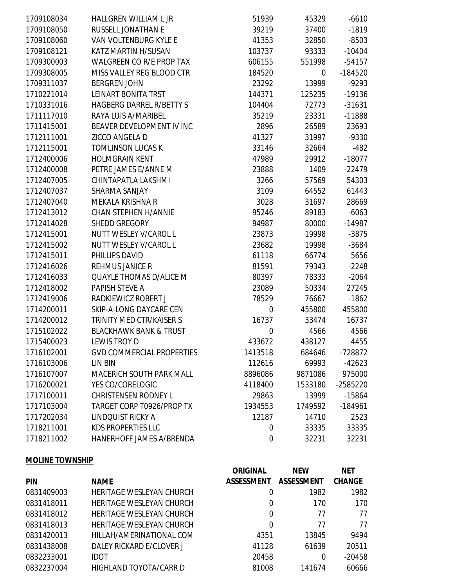| 1709108034 | HALLGREN WILLIAM L JR             | 51939            | 45329   | $-6610$   |
|------------|-----------------------------------|------------------|---------|-----------|
| 1709108050 | RUSSELL JONATHAN E                | 39219            | 37400   | $-1819$   |
| 1709108060 | <b>VAN VOLTENBURG KYLE E</b>      | 41353            | 32850   | $-8503$   |
| 1709108121 | KATZ MARTIN H/SUSAN               | 103737           | 93333   | $-10404$  |
| 1709300003 | <b>WALGREEN CO R/E PROP TAX</b>   | 606155           | 551998  | $-54157$  |
| 1709308005 | MISS VALLEY REG BLOOD CTR         | 184520           | 0       | $-184520$ |
| 1709311037 | <b>BERGREN JOHN</b>               | 23292            | 13999   | $-9293$   |
| 1710221014 | <b>LEINART BONITA TRST</b>        | 144371           | 125235  | $-19136$  |
| 1710331016 | <b>HAGBERG DARREL R/BETTY S</b>   | 104404           | 72773   | $-31631$  |
| 1711117010 | RAYA LUIS A/MARIBEL               | 35219            | 23331   | $-11888$  |
| 1711415001 | BEAVER DEVELOPMENT IV INC         | 2896             | 26589   | 23693     |
| 1712111001 | ZICCO ANGELA D                    | 41327            | 31997   | $-9330$   |
| 1712115001 | <b>TOMLINSON LUCAS K</b>          | 33146            | 32664   | $-482$    |
| 1712400006 | <b>HOLMGRAIN KENT</b>             | 47989            | 29912   | $-18077$  |
| 1712400008 | PETRE JAMES E/ANNE M              | 23888            | 1409    | $-22479$  |
| 1712407005 | CHINTAPATLA LAKSHMI               | 3266             | 57569   | 54303     |
| 1712407037 | SHARMA SANJAY                     | 3109             | 64552   | 61443     |
| 1712407040 | MEKALA KRISHNA R                  | 3028             | 31697   | 28669     |
| 1712413012 | <b>CHAN STEPHEN H/ANNIE</b>       | 95246            | 89183   | $-6063$   |
| 1712414028 | SHEDD GREGORY                     | 94987            | 80000   | $-14987$  |
| 1712415001 | NUTT WESLEY V/CAROL L             | 23873            | 19998   | $-3875$   |
| 1712415002 | NUTT WESLEY V/CAROL L             | 23682            | 19998   | $-3684$   |
| 1712415011 | PHILLIPS DAVID                    | 61118            | 66774   | 5656      |
| 1712416026 | <b>REHMUS JANICE R</b>            | 81591            | 79343   | $-2248$   |
| 1712416033 | QUAYLE THOMAS D/ALICE M           | 80397            | 78333   | $-2064$   |
| 1712418002 | PAPISH STEVE A                    | 23089            | 50334   | 27245     |
| 1712419006 | RADKIEWICZ ROBERT J               | 78529            | 76667   | $-1862$   |
| 1714200011 | SKIP-A-LONG DAYCARE CEN           | $\boldsymbol{0}$ | 455800  | 455800    |
| 1714200012 | TRINITY MED CTR/KAISER S          | 16737            | 33474   | 16737     |
| 1715102022 | <b>BLACKHAWK BANK &amp; TRUST</b> | $\boldsymbol{0}$ | 4566    | 4566      |
| 1715400023 | <b>LEWIS TROY D</b>               | 433672           | 438127  | 4455      |
| 1716102001 | <b>GVD COMMERCIAL PROPERTIES</b>  | 1413518          | 684646  | -728872   |
| 1716103006 | <b>LIN BIN</b>                    | 112616           | 69993   | $-42623$  |
| 1716107007 | MACERICH SOUTH PARK MALL          | 8896086          | 9871086 | 975000    |
| 1716200021 | YES CO/CORELOGIC                  | 4118400          | 1533180 | -2585220  |
| 1717100011 | <b>CHRISTENSEN RODNEY L</b>       | 29863            | 13999   | $-15864$  |
| 1717103004 | <b>TARGET CORP T0926/PROP TX</b>  | 1934553          | 1749592 | -184961   |
| 1717202034 | LINDQUIST RICKY A                 | 12187            | 14710   | 2523      |
| 1718211001 | <b>KDS PROPERTIES LLC</b>         | $\boldsymbol{0}$ | 33335   | 33335     |
| 1718211002 | HANERHOFF JAMES A/BRENDA          | 0                | 32231   | 32231     |
|            |                                   |                  |         |           |

## **MOLINE TOWNSHIP**

|            |                                 | <b>ORIGINAL</b>   | <b>NEW</b>        | <b>NET</b>    |
|------------|---------------------------------|-------------------|-------------------|---------------|
| <b>PIN</b> | <b>NAME</b>                     | <b>ASSESSMENT</b> | <b>ASSESSMENT</b> | <b>CHANGE</b> |
| 0831409003 | <b>HERITAGE WESLEYAN CHURCH</b> | 0                 | 1982              | 1982          |
| 0831418011 | HERITAGE WESLEYAN CHURCH        | 0                 | 170               | 170           |
| 0831418012 | HERITAGE WESLEYAN CHURCH        | 0                 | 77                | 77            |
| 0831418013 | HERITAGE WESLEYAN CHURCH        | 0                 | 77                | 77            |
| 0831420013 | HILLAH/AMERINATIONAL COM        | 4351              | 13845             | 9494          |
| 0831438008 | DALEY RICKARD E/CLOVER J        | 41128             | 61639             | 20511         |
| 0832233001 | <b>IDOT</b>                     | 20458             | 0                 | -20458        |
| 0832237004 | HIGHLAND TOYOTA/CARR D          | 81008             | 141674            | 60666         |
|            |                                 |                   |                   |               |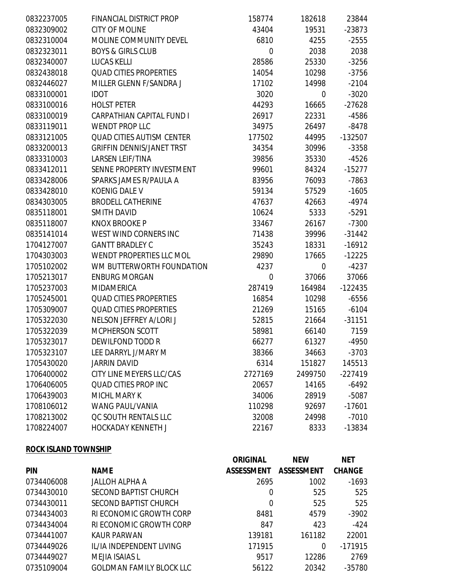| 0832237005 | FINANCIAL DISTRICT PROP          | 158774      | 182618         | 23844     |
|------------|----------------------------------|-------------|----------------|-----------|
| 0832309002 | <b>CITY OF MOLINE</b>            | 43404       | 19531          | $-23873$  |
| 0832310004 | MOLINE COMMUNITY DEVEL           | 6810        | 4255           | $-2555$   |
| 0832323011 | <b>BOYS &amp; GIRLS CLUB</b>     | $\mathbf 0$ | 2038           | 2038      |
| 0832340007 | <b>LUCAS KELLI</b>               | 28586       | 25330          | $-3256$   |
| 0832438018 | <b>QUAD CITIES PROPERTIES</b>    | 14054       | 10298          | $-3756$   |
| 0832446027 | MILLER GLENN F/SANDRA J          | 17102       | 14998          | $-2104$   |
| 0833100001 | <b>IDOT</b>                      | 3020        | 0              | $-3020$   |
| 0833100016 | <b>HOLST PETER</b>               | 44293       | 16665          | $-27628$  |
| 0833100019 | <b>CARPATHIAN CAPITAL FUND I</b> | 26917       | 22331          | $-4586$   |
| 0833119011 | <b>WENDT PROP LLC</b>            | 34975       | 26497          | $-8478$   |
| 0833121005 | <b>QUAD CITIES AUTISM CENTER</b> | 177502      | 44995          | -132507   |
| 0833200013 | <b>GRIFFIN DENNIS/JANET TRST</b> | 34354       | 30996          | $-3358$   |
| 0833310003 | <b>LARSEN LEIF/TINA</b>          | 39856       | 35330          | $-4526$   |
| 0833412011 | SENNE PROPERTY INVESTMENT        | 99601       | 84324          | $-15277$  |
| 0833428006 | SPARKS JAMES R/PAULA A           | 83956       | 76093          | $-7863$   |
| 0833428010 | <b>KOENIG DALE V</b>             | 59134       | 57529          | $-1605$   |
| 0834303005 | <b>BRODELL CATHERINE</b>         | 47637       | 42663          | $-4974$   |
| 0835118001 | <b>SMITH DAVID</b>               | 10624       | 5333           | $-5291$   |
| 0835118007 | <b>KNOX BROOKE P</b>             | 33467       | 26167          | $-7300$   |
| 0835141014 | WEST WIND CORNERS INC            | 71438       | 39996          | $-31442$  |
| 1704127007 | <b>GANTT BRADLEY C</b>           | 35243       | 18331          | $-16912$  |
| 1704303003 | WENDT PROPERTIES LLC MOL         | 29890       | 17665          | $-12225$  |
| 1705102002 | WM BUTTERWORTH FOUNDATION        | 4237        | $\overline{0}$ | $-4237$   |
| 1705213017 | <b>ENBURG MORGAN</b>             | $\mathbf 0$ | 37066          | 37066     |
| 1705237003 | <b>MIDAMERICA</b>                | 287419      | 164984         | $-122435$ |
| 1705245001 | <b>QUAD CITIES PROPERTIES</b>    | 16854       | 10298          | $-6556$   |
| 1705309007 | <b>QUAD CITIES PROPERTIES</b>    | 21269       | 15165          | $-6104$   |
| 1705322030 | NELSON JEFFREY A/LORI J          | 52815       | 21664          | $-31151$  |
| 1705322039 | MCPHERSON SCOTT                  | 58981       | 66140          | 7159      |
| 1705323017 | DEWILFOND TODD R                 | 66277       | 61327          | $-4950$   |
| 1705323107 | LEE DARRYL J/MARY M              | 38366       | 34663          | $-3703$   |
| 1705430020 | <b>JARRIN DAVID</b>              | 6314        | 151827         | 145513    |
| 1706400002 | CITY LINE MEYERS LLC/CAS         | 2727169     | 2499750        | $-227419$ |
| 1706406005 | QUAD CITIES PROP INC             | 20657       | 14165          | $-6492$   |
| 1706439003 | MICHL MARY K                     | 34006       | 28919          | $-5087$   |
| 1708106012 | <b>WANG PAUL/VANIA</b>           | 110298      | 92697          | $-17601$  |
| 1708213002 | <b>QC SOUTH RENTALS LLC</b>      | 32008       | 24998          | $-7010$   |
| 1708224007 | <b>HOCKADAY KENNETH J</b>        | 22167       | 8333           | -13834    |
|            |                                  |             |                |           |

## **ROCK ISLAND TOWNSHIP**

| <b>NET</b>    |
|---------------|
| <b>CHANGE</b> |
| $-1693$       |
| 525           |
| 525           |
| $-3902$       |
| $-424$        |
| 22001         |
| $-171915$     |
| 2769          |
| $-35780$      |
|               |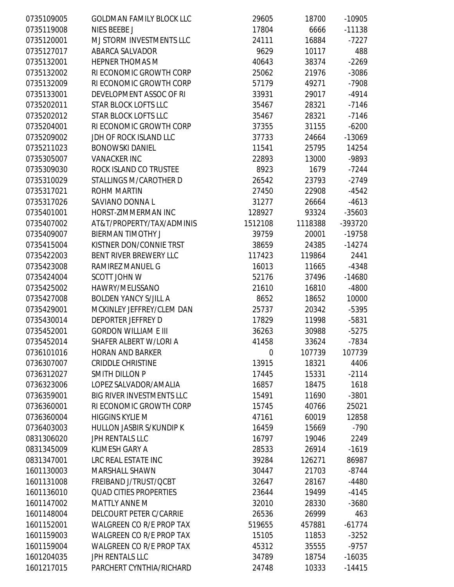| 0735109005 | <b>GOLDMAN FAMILY BLOCK LLC</b>  | 29605            | 18700   | $-10905$ |
|------------|----------------------------------|------------------|---------|----------|
| 0735119008 | NIES BEEBE J                     | 17804            | 6666    | $-11138$ |
| 0735120001 | MJ STORM INVESTMENTS LLC         | 24111            | 16884   | $-7227$  |
| 0735127017 | ABARCA SALVADOR                  | 9629             | 10117   | 488      |
| 0735132001 | <b>HEPNER THOMAS M</b>           | 40643            | 38374   | $-2269$  |
| 0735132002 | RI ECONOMIC GROWTH CORP          | 25062            | 21976   | $-3086$  |
| 0735132009 | RI ECONOMIC GROWTH CORP          | 57179            | 49271   | $-7908$  |
| 0735133001 | DEVELOPMENT ASSOC OF RI          | 33931            | 29017   | $-4914$  |
| 0735202011 | <b>STAR BLOCK LOFTS LLC</b>      | 35467            | 28321   | $-7146$  |
| 0735202012 | <b>STAR BLOCK LOFTS LLC</b>      | 35467            | 28321   | $-7146$  |
| 0735204001 | RI ECONOMIC GROWTH CORP          | 37355            | 31155   | $-6200$  |
| 0735209002 | JDH OF ROCK ISLAND LLC           | 37733            | 24664   | $-13069$ |
| 0735211023 | <b>BONOWSKI DANIEL</b>           | 11541            | 25795   | 14254    |
| 0735305007 | <b>VANACKER INC</b>              | 22893            | 13000   | -9893    |
| 0735309030 | ROCK ISLAND CO TRUSTEE           | 8923             | 1679    | $-7244$  |
| 0735310029 | STALLINGS M/CAROTHER D           | 26542            | 23793   | $-2749$  |
| 0735317021 | <b>ROHM MARTIN</b>               | 27450            | 22908   | $-4542$  |
| 0735317026 | SAVIANO DONNA L                  | 31277            | 26664   | $-4613$  |
| 0735401001 | HORST-ZIMMERMAN INC              | 128927           | 93324   | $-35603$ |
| 0735407002 | AT&T/PROPERTY/TAX/ADMINIS        | 1512108          | 1118388 | -393720  |
| 0735409007 | <b>BIERMAN TIMOTHY J</b>         | 39759            | 20001   | $-19758$ |
| 0735415004 | KISTNER DON/CONNIE TRST          | 38659            | 24385   | $-14274$ |
| 0735422003 | BENT RIVER BREWERY LLC           | 117423           | 119864  | 2441     |
| 0735423008 | RAMIREZ MANUEL G                 | 16013            | 11665   | $-4348$  |
| 0735424004 | SCOTT JOHN W                     | 52176            | 37496   | $-14680$ |
| 0735425002 | HAWRY/MELISSANO                  | 21610            | 16810   | $-4800$  |
| 0735427008 | <b>BOLDEN YANCY S/JILL A</b>     | 8652             | 18652   | 10000    |
| 0735429001 | MCKINLEY JEFFREY/CLEM DAN        | 25737            | 20342   | $-5395$  |
| 0735430014 | <b>DEPORTER JEFFREY D</b>        | 17829            | 11998   | $-5831$  |
| 0735452001 | <b>GORDON WILLIAM E III</b>      | 36263            | 30988   | $-5275$  |
| 0735452014 | SHAFER ALBERT W/LORI A           | 41458            | 33624   | $-7834$  |
| 0736101016 | <b>HORAN AND BARKER</b>          | $\boldsymbol{0}$ | 107739  | 107739   |
| 0736307007 | <b>CRIDDLE CHRISTINE</b>         | 13915            | 18321   | 4406     |
| 0736312027 | <b>SMITH DILLON P</b>            | 17445            | 15331   | $-2114$  |
| 0736323006 | LOPEZ SALVADOR/AMALIA            | 16857            | 18475   | 1618     |
| 0736359001 | <b>BIG RIVER INVESTMENTS LLC</b> | 15491            | 11690   | $-3801$  |
| 0736360001 | RI ECONOMIC GROWTH CORP          | 15745            | 40766   | 25021    |
| 0736360004 | <b>HIGGINS KYLIE M</b>           | 47161            | 60019   | 12858    |
| 0736403003 | <b>HULLON JASBIR S/KUNDIP K</b>  | 16459            | 15669   | $-790$   |
| 0831306020 | <b>JPH RENTALS LLC</b>           | 16797            | 19046   | 2249     |
| 0831345009 | <b>KLIMESH GARY A</b>            | 28533            | 26914   | $-1619$  |
| 0831347001 | LRC REAL ESTATE INC              | 39284            | 126271  | 86987    |
| 1601130003 | <b>MARSHALL SHAWN</b>            | 30447            | 21703   | $-8744$  |
| 1601131008 | FREIBAND J/TRUST/QCBT            | 32647            | 28167   | $-4480$  |
| 1601136010 | <b>QUAD CITIES PROPERTIES</b>    | 23644            | 19499   | $-4145$  |
| 1601147002 | <b>MATTLY ANNE M</b>             | 32010            | 28330   | $-3680$  |
| 1601148004 | DELCOURT PETER C/CARRIE          | 26536            | 26999   | 463      |
| 1601152001 | <b>WALGREEN CO R/E PROP TAX</b>  | 519655           | 457881  | $-61774$ |
| 1601159003 | <b>WALGREEN CO R/E PROP TAX</b>  | 15105            | 11853   | $-3252$  |
| 1601159004 | <b>WALGREEN CO R/E PROP TAX</b>  | 45312            | 35555   | $-9757$  |
| 1601204035 | <b>JPH RENTALS LLC</b>           | 34789            | 18754   | $-16035$ |
| 1601217015 | PARCHERT CYNTHIA/RICHARD         | 24748            | 10333   | $-14415$ |
|            |                                  |                  |         |          |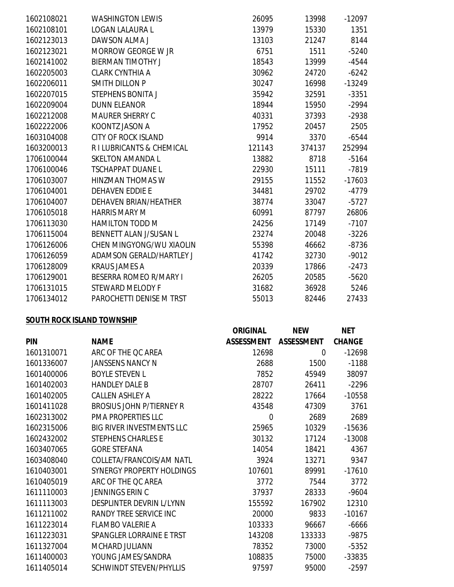| 1602108021 | <b>WASHINGTON LEWIS</b>         | 26095  | 13998  | $-12097$ |
|------------|---------------------------------|--------|--------|----------|
| 1602108101 | <b>LOGAN LALAURA L</b>          | 13979  | 15330  | 1351     |
| 1602123013 | DAWSON ALMA J                   | 13103  | 21247  | 8144     |
| 1602123021 | MORROW GEORGE W JR              | 6751   | 1511   | $-5240$  |
| 1602141002 | <b>BIERMAN TIMOTHY J</b>        | 18543  | 13999  | $-4544$  |
| 1602205003 | <b>CLARK CYNTHIA A</b>          | 30962  | 24720  | $-6242$  |
| 1602206011 | <b>SMITH DILLON P</b>           | 30247  | 16998  | $-13249$ |
| 1602207015 | <b>STEPHENS BONITA J</b>        | 35942  | 32591  | $-3351$  |
| 1602209004 | <b>DUNN ELEANOR</b>             | 18944  | 15950  | $-2994$  |
| 1602212008 | <b>MAURER SHERRY C</b>          | 40331  | 37393  | $-2938$  |
| 1602222006 | KOONTZ JASON A                  | 17952  | 20457  | 2505     |
| 1603104008 | <b>CITY OF ROCK ISLAND</b>      | 9914   | 3370   | $-6544$  |
| 1603200013 | R I LUBRICANTS & CHEMICAL       | 121143 | 374137 | 252994   |
| 1706100044 | <b>SKELTON AMANDA L</b>         | 13882  | 8718   | $-5164$  |
| 1706100046 | <b>TSCHAPPAT DUANE L</b>        | 22930  | 15111  | $-7819$  |
| 1706103007 | <b>HINZMAN THOMAS W</b>         | 29155  | 11552  | $-17603$ |
| 1706104001 | <b>DEHAVEN EDDIE E</b>          | 34481  | 29702  | $-4779$  |
| 1706104007 | <b>DEHAVEN BRIAN/HEATHER</b>    | 38774  | 33047  | $-5727$  |
| 1706105018 | <b>HARRIS MARY M</b>            | 60991  | 87797  | 26806    |
| 1706113030 | <b>HAMILTON TODD M</b>          | 24256  | 17149  | $-7107$  |
| 1706115004 | BENNETT ALAN J/SUSAN L          | 23274  | 20048  | $-3226$  |
| 1706126006 | <b>CHEN MINGYONG/WU XIAOLIN</b> | 55398  | 46662  | $-8736$  |
| 1706126059 | <b>ADAMSON GERALD/HARTLEY J</b> | 41742  | 32730  | $-9012$  |
| 1706128009 | <b>KRAUS JAMES A</b>            | 20339  | 17866  | $-2473$  |
| 1706129001 | <b>BESERRA ROMEO R/MARY I</b>   | 26205  | 20585  | $-5620$  |
| 1706131015 | STEWARD MELODY F                | 31682  | 36928  | 5246     |
| 1706134012 | PAROCHETTI DENISE M TRST        | 55013  | 82446  | 27433    |
|            |                                 |        |        |          |

# **SOUTH ROCK ISLAND TOWNSHIP**

|            |                                  | <b>ORIGINAL</b>   | <b>NEW</b>        | <b>NET</b>    |
|------------|----------------------------------|-------------------|-------------------|---------------|
| <b>PIN</b> | <b>NAME</b>                      | <b>ASSESSMENT</b> | <b>ASSESSMENT</b> | <b>CHANGE</b> |
| 1601310071 | ARC OF THE QC AREA               | 12698             | 0                 | $-12698$      |
| 1601336007 | <b>JANSSENS NANCY N</b>          | 2688              | 1500              | $-1188$       |
| 1601400006 | <b>BOYLE STEVEN L</b>            | 7852              | 45949             | 38097         |
| 1601402003 | <b>HANDLEY DALE B</b>            | 28707             | 26411             | $-2296$       |
| 1601402005 | <b>CALLEN ASHLEY A</b>           | 28222             | 17664             | $-10558$      |
| 1601411028 | <b>BROSIUS JOHN P/TIERNEY R</b>  | 43548             | 47309             | 3761          |
| 1602313002 | <b>PMA PROPERTIES LLC</b>        | $\overline{0}$    | 2689              | 2689          |
| 1602315006 | <b>BIG RIVER INVESTMENTS LLC</b> | 25965             | 10329             | $-15636$      |
| 1602432002 | <b>STEPHENS CHARLES E</b>        | 30132             | 17124             | $-13008$      |
| 1603407065 | <b>GORE STEFANA</b>              | 14054             | 18421             | 4367          |
| 1603408040 | COLLETA/FRANCOIS/AM NATL         | 3924              | 13271             | 9347          |
| 1610403001 | SYNERGY PROPERTY HOLDINGS        | 107601            | 89991             | $-17610$      |
| 1610405019 | ARC OF THE QC AREA               | 3772              | 7544              | 3772          |
| 1611110003 | JENNINGS ERIN C                  | 37937             | 28333             | $-9604$       |
| 1611113003 | DESPLINTER DEVRIN L/LYNN         | 155592            | 167902            | 12310         |
| 1611211002 | RANDY TREE SERVICE INC           | 20000             | 9833              | $-10167$      |
| 1611223014 | <b>FLAMBO VALERIE A</b>          | 103333            | 96667             | $-6666$       |
| 1611223031 | SPANGLER LORRAINE E TRST         | 143208            | 133333            | $-9875$       |
| 1611327004 | MCHARD JULIANN                   | 78352             | 73000             | $-5352$       |
| 1611400003 | YOUNG JAMES/SANDRA               | 108835            | 75000             | -33835        |
| 1611405014 | SCHWINDT STEVEN/PHYLLIS          | 97597             | 95000             | $-2597$       |
|            |                                  |                   |                   |               |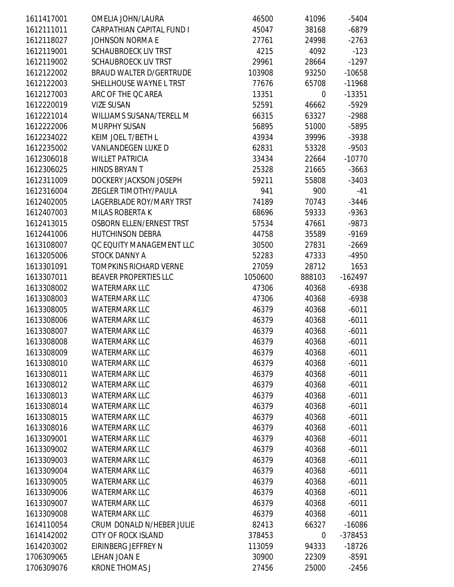| 1611417001 | OMELIA JOHN/LAURA                | 46500   | 41096            | $-5404$   |
|------------|----------------------------------|---------|------------------|-----------|
| 1612111011 | <b>CARPATHIAN CAPITAL FUND I</b> | 45047   | 38168            | $-6879$   |
| 1612118027 | <b>JOHNSON NORMA E</b>           | 27761   | 24998            | $-2763$   |
| 1612119001 | <b>SCHAUBROECK LIV TRST</b>      | 4215    | 4092             | $-123$    |
| 1612119002 | <b>SCHAUBROECK LIV TRST</b>      | 29961   | 28664            | $-1297$   |
| 1612122002 | <b>BRAUD WALTER D/GERTRUDE</b>   | 103908  | 93250            | $-10658$  |
| 1612122003 | SHELLHOUSE WAYNE L TRST          | 77676   | 65708            | $-11968$  |
| 1612127003 | ARC OF THE QC AREA               | 13351   | 0                | $-13351$  |
| 1612220019 | <b>VIZE SUSAN</b>                | 52591   | 46662            | $-5929$   |
| 1612221014 | WILLIAMS SUSANA/TERELL M         | 66315   | 63327            | $-2988$   |
| 1612222006 | <b>MURPHY SUSAN</b>              | 56895   | 51000            | -5895     |
| 1612234022 | KEIM JOEL T/BETH L               | 43934   | 39996            | $-3938$   |
| 1612235002 | <b>VANLANDEGEN LUKE D</b>        | 62831   | 53328            | $-9503$   |
| 1612306018 | <b>WILLET PATRICIA</b>           | 33434   | 22664            | $-10770$  |
| 1612306025 | <b>HINDS BRYAN T</b>             | 25328   | 21665            | $-3663$   |
| 1612311009 | DOCKERY JACKSON JOSEPH           | 59211   | 55808            | $-3403$   |
| 1612316004 | ZIEGLER TIMOTHY/PAULA            | 941     | 900              | $-41$     |
| 1612402005 | LAGERBLADE ROY/MARY TRST         | 74189   | 70743            | $-3446$   |
| 1612407003 | <b>MILAS ROBERTA K</b>           | 68696   | 59333            | $-9363$   |
| 1612413015 | <b>OSBORN ELLEN/ERNEST TRST</b>  | 57534   | 47661            | $-9873$   |
| 1612441006 | <b>HUTCHINSON DEBRA</b>          | 44758   | 35589            | $-9169$   |
| 1613108007 | QC EQUITY MANAGEMENT LLC         | 30500   | 27831            | $-2669$   |
| 1613205006 | <b>STOCK DANNY A</b>             | 52283   | 47333            | $-4950$   |
| 1613301091 | <b>TOMPKINS RICHARD VERNE</b>    | 27059   | 28712            | 1653      |
| 1613307011 | <b>BEAVER PROPERTIES LLC</b>     | 1050600 | 888103           | $-162497$ |
| 1613308002 | <b>WATERMARK LLC</b>             | 47306   | 40368            | $-6938$   |
| 1613308003 | <b>WATERMARK LLC</b>             | 47306   | 40368            | $-6938$   |
| 1613308005 | <b>WATERMARK LLC</b>             | 46379   | 40368            | $-6011$   |
| 1613308006 | <b>WATERMARK LLC</b>             | 46379   | 40368            | $-6011$   |
| 1613308007 | <b>WATERMARK LLC</b>             | 46379   | 40368            | $-6011$   |
| 1613308008 | <b>WATERMARK LLC</b>             | 46379   | 40368            | $-6011$   |
| 1613308009 | <b>WATERMARK LLC</b>             | 46379   | 40368            | $-6011$   |
| 1613308010 | <b>WATERMARK LLC</b>             | 46379   | 40368            | $-6011$   |
| 1613308011 | <b>WATERMARK LLC</b>             | 46379   | 40368            | $-6011$   |
| 1613308012 | <b>WATERMARK LLC</b>             | 46379   | 40368            | $-6011$   |
| 1613308013 | <b>WATERMARK LLC</b>             | 46379   | 40368            | $-6011$   |
| 1613308014 | <b>WATERMARK LLC</b>             | 46379   | 40368            | $-6011$   |
| 1613308015 | <b>WATERMARK LLC</b>             | 46379   | 40368            | $-6011$   |
| 1613308016 | <b>WATERMARK LLC</b>             | 46379   | 40368            | $-6011$   |
| 1613309001 | <b>WATERMARK LLC</b>             | 46379   | 40368            | $-6011$   |
| 1613309002 | <b>WATERMARK LLC</b>             | 46379   | 40368            | $-6011$   |
| 1613309003 | <b>WATERMARK LLC</b>             | 46379   | 40368            | $-6011$   |
| 1613309004 | <b>WATERMARK LLC</b>             | 46379   | 40368            | $-6011$   |
| 1613309005 | <b>WATERMARK LLC</b>             | 46379   | 40368            | $-6011$   |
| 1613309006 | <b>WATERMARK LLC</b>             | 46379   | 40368            | $-6011$   |
| 1613309007 | <b>WATERMARK LLC</b>             | 46379   | 40368            | $-6011$   |
| 1613309008 | <b>WATERMARK LLC</b>             | 46379   | 40368            | $-6011$   |
| 1614110054 | CRUM DONALD N/HEBER JULIE        | 82413   | 66327            | $-16086$  |
| 1614142002 | <b>CITY OF ROCK ISLAND</b>       | 378453  | $\boldsymbol{0}$ | -378453   |
| 1614203002 | EIRINBERG JEFFREY N              | 113059  | 94333            | $-18726$  |
| 1706309065 | LEHAN JOAN E                     | 30900   | 22309            | $-8591$   |
| 1706309076 | <b>KRONE THOMAS J</b>            | 27456   | 25000            | $-2456$   |
|            |                                  |         |                  |           |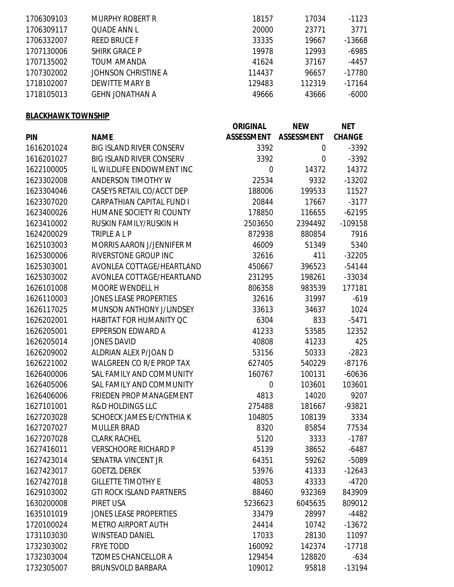| 1706309103 | <b>MURPHY ROBERT R</b> | 18157  | 17034  | $-1123$  |
|------------|------------------------|--------|--------|----------|
| 1706309117 | QUADE ANN L            | 20000  | 23771  | 3771     |
| 1706332007 | <b>REED BRUCE F</b>    | 33335  | 19667  | $-13668$ |
| 1707130006 | <b>SHIRK GRACE P</b>   | 19978  | 12993  | $-6985$  |
| 1707135002 | TOUM AMANDA            | 41624  | 37167  | -4457    |
| 1707302002 | JOHNSON CHRISTINE A    | 114437 | 96657  | $-17780$ |
| 1718102007 | <b>DEWITTE MARY B</b>  | 129483 | 112319 | $-17164$ |
| 1718105013 | <b>GEHN JONATHAN A</b> | 49666  | 43666  | $-6000$  |
|            |                        |        |        |          |

# **BLACKHAWK TOWNSHIP**

|            |                                  | <b>ORIGINAL</b>   | <b>NEW</b>        | <b>NET</b>    |
|------------|----------------------------------|-------------------|-------------------|---------------|
| <b>PIN</b> | <b>NAME</b>                      | <b>ASSESSMENT</b> | <b>ASSESSMENT</b> | <b>CHANGE</b> |
| 1616201024 | <b>BIG ISLAND RIVER CONSERV</b>  | 3392              | 0                 | $-3392$       |
| 1616201027 | <b>BIG ISLAND RIVER CONSERV</b>  | 3392              | 0                 | $-3392$       |
| 1622100005 | IL WILDLIFE ENDOWMENT INC        | 0                 | 14372             | 14372         |
| 1623302008 | <b>ANDERSON TIMOTHY W</b>        | 22534             | 9332              | $-13202$      |
| 1623304046 | CASEYS RETAIL CO/ACCT DEP        | 188006            | 199533            | 11527         |
| 1623307020 | <b>CARPATHIAN CAPITAL FUND I</b> | 20844             | 17667             | $-3177$       |
| 1623400026 | HUMANE SOCIETY RI COUNTY         | 178850            | 116655            | $-62195$      |
| 1623410002 | RUSKIN FAMILY/RUSKIN H           | 2503650           | 2394492           | -109158       |
| 1624200029 | <b>TRIPLE ALP</b>                | 872938            | 880854            | 7916          |
| 1625103003 | <b>MORRIS AARON J/JENNIFER M</b> | 46009             | 51349             | 5340          |
| 1625300006 | RIVERSTONE GROUP INC             | 32616             | 411               | $-32205$      |
| 1625303001 | AVONLEA COTTAGE/HEARTLAND        | 450667            | 396523            | $-54144$      |
| 1625303002 | AVONLEA COTTAGE/HEARTLAND        | 231295            | 198261            | -33034        |
| 1626101008 | <b>MOORE WENDELL H</b>           | 806358            | 983539            | 177181        |
| 1626110003 | <b>JONES LEASE PROPERTIES</b>    | 32616             | 31997             | $-619$        |
| 1626117025 | MUNSON ANTHONY J/LINDSEY         | 33613             | 34637             | 1024          |
| 1626202001 | <b>HABITAT FOR HUMANITY QC</b>   | 6304              | 833               | $-5471$       |
| 1626205001 | EPPERSON EDWARD A                | 41233             | 53585             | 12352         |
| 1626205014 | <b>JONES DAVID</b>               | 40808             | 41233             | 425           |
| 1626209002 | ALDRIAN ALEX P/JOAN D            | 53156             | 50333             | $-2823$       |
| 1626221002 | <b>WALGREEN CO R/E PROP TAX</b>  | 627405            | 540229            | $-87176$      |
| 1626400006 | SAL FAMILY AND COMMUNITY         | 160767            | 100131            | $-60636$      |
| 1626405006 | SAL FAMILY AND COMMUNITY         | 0                 | 103601            | 103601        |
| 1626406006 | <b>FRIEDEN PROP MANAGEMENT</b>   | 4813              | 14020             | 9207          |
| 1627101001 | <b>R&amp;D HOLDINGS LLC</b>      | 275488            | 181667            | -93821        |
| 1627203028 | SCHOECK JAMES E/CYNTHIA K        | 104805            | 108139            | 3334          |
| 1627207027 | <b>MULLER BRAD</b>               | 8320              | 85854             | 77534         |
| 1627207028 | <b>CLARK RACHEL</b>              | 5120              | 3333              | $-1787$       |
| 1627416011 | <b>VERSCHOORE RICHARD P</b>      | 45139             | 38652             | $-6487$       |
| 1627423014 | SENATRA VINCENT JR               | 64351             | 59262             | $-5089$       |
| 1627423017 | <b>GOETZL DEREK</b>              | 53976             | 41333             | $-12643$      |
| 1627427018 | <b>GILLETTE TIMOTHY E</b>        | 48053             | 43333             | $-4720$       |
| 1629103002 | <b>GTI ROCK ISLAND PARTNERS</b>  | 88460             | 932369            | 843909        |
| 1630200008 | PIRET USA                        | 5236623           | 6045635           | 809012        |
| 1635101019 | <b>JONES LEASE PROPERTIES</b>    | 33479             | 28997             | $-4482$       |
| 1720100024 | <b>METRO AIRPORT AUTH</b>        | 24414             | 10742             | $-13672$      |
| 1731103030 | <b>WINSTEAD DANIEL</b>           | 17033             | 28130             | 11097         |
| 1732303002 | <b>FRYE TODD</b>                 | 160092            | 142374            | $-17718$      |
| 1732303004 | <b>TZOMES CHANCELLOR A</b>       | 129454            | 128820            | $-634$        |
| 1732305007 | <b>BRUNSVOLD BARBARA</b>         | 109012            | 95818             | $-13194$      |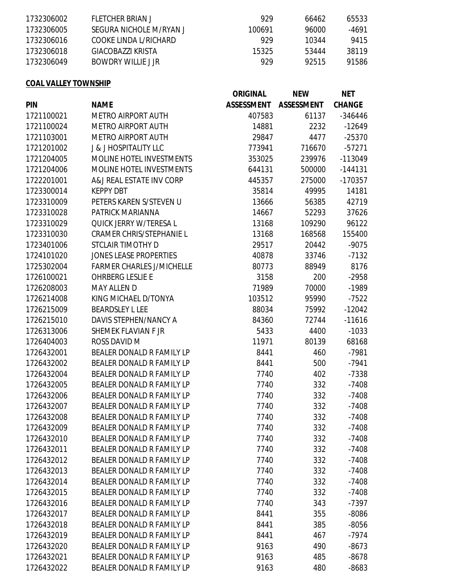| 1732306002 | FLETCHER BRIAN L        | 929    | 66462 | 65533 |
|------------|-------------------------|--------|-------|-------|
| 1732306005 | SEGURA NICHOLE M/RYAN J | 100691 | 96000 | -4691 |
| 1732306016 | COOKE LINDA L/RICHARD   | 929    | 10344 | 9415  |
| 1732306018 | GIACOBAZZI KRISTA       | 15325  | 53444 | 38119 |
| 1732306049 | BOWDRY WILLIF LIR       | 929    | 92515 | 91586 |

# **COAL VALLEY TOWNSHIP**

|            |                                  | <b>ORIGINAL</b>   | <b>NEW</b>        | <b>NET</b>    |
|------------|----------------------------------|-------------------|-------------------|---------------|
| <b>PIN</b> | <b>NAME</b>                      | <b>ASSESSMENT</b> | <b>ASSESSMENT</b> | <b>CHANGE</b> |
| 1721100021 | <b>METRO AIRPORT AUTH</b>        | 407583            | 61137             | -346446       |
| 1721100024 | <b>METRO AIRPORT AUTH</b>        | 14881             | 2232              | $-12649$      |
| 1721103001 | <b>METRO AIRPORT AUTH</b>        | 29847             | 4477              | $-25370$      |
| 1721201002 | <b>J &amp; J HOSPITALITY LLC</b> | 773941            | 716670            | $-57271$      |
| 1721204005 | MOLINE HOTEL INVESTMENTS         | 353025            | 239976            | -113049       |
| 1721204006 | <b>MOLINE HOTEL INVESTMENTS</b>  | 644131            | 500000            | $-144131$     |
| 1722201001 | A&J REAL ESTATE INV CORP         | 445357            | 275000            | $-170357$     |
| 1723300014 | <b>KEPPY DBT</b>                 | 35814             | 49995             | 14181         |
| 1723310009 | PETERS KAREN S/STEVEN U          | 13666             | 56385             | 42719         |
| 1723310028 | PATRICK MARIANNA                 | 14667             | 52293             | 37626         |
| 1723310029 | QUICK JERRY W/TERESA L           | 13168             | 109290            | 96122         |
| 1723310030 | <b>CRAMER CHRIS/STEPHANIE L</b>  | 13168             | 168568            | 155400        |
| 1723401006 | <b>STCLAIR TIMOTHY D</b>         | 29517             | 20442             | $-9075$       |
| 1724101020 | <b>JONES LEASE PROPERTIES</b>    | 40878             | 33746             | $-7132$       |
| 1725302004 | <b>FARMER CHARLES J/MICHELLE</b> | 80773             | 88949             | 8176          |
| 1726100021 | OHRBERG LESLIE E                 | 3158              | 200               | $-2958$       |
| 1726208003 | <b>MAY ALLEN D</b>               | 71989             | 70000             | $-1989$       |
| 1726214008 | KING MICHAEL D/TONYA             | 103512            | 95990             | $-7522$       |
| 1726215009 | <b>BEARDSLEY L LEE</b>           | 88034             | 75992             | $-12042$      |
| 1726215010 | DAVIS STEPHEN/NANCY A            | 84360             | 72744             | $-11616$      |
| 1726313006 | SHEMEK FLAVIAN F JR              | 5433              | 4400              | $-1033$       |
| 1726404003 | ROSS DAVID M                     | 11971             | 80139             | 68168         |
| 1726432001 | BEALER DONALD R FAMILY LP        | 8441              | 460               | $-7981$       |
| 1726432002 | BEALER DONALD R FAMILY LP        | 8441              | 500               | $-7941$       |
| 1726432004 | BEALER DONALD R FAMILY LP        | 7740              | 402               | $-7338$       |
| 1726432005 | BEALER DONALD R FAMILY LP        | 7740              | 332               | $-7408$       |
| 1726432006 | BEALER DONALD R FAMILY LP        | 7740              | 332               | $-7408$       |
| 1726432007 | BEALER DONALD R FAMILY LP        | 7740              | 332               | $-7408$       |
| 1726432008 | BEALER DONALD R FAMILY LP        | 7740              | 332               | $-7408$       |
| 1726432009 | <b>BEALER DONALD R FAMILY LP</b> | 7740              | 332               | $-7408$       |
| 1726432010 | BEALER DONALD R FAMILY LP        | 7740              | 332               | $-7408$       |
| 1726432011 | BEALER DONALD R FAMILY LP        | 7740              | 332               | $-7408$       |
| 1726432012 | BEALER DONALD R FAMILY LP        | 7740              | 332               | $-7408$       |
| 1726432013 | BEALER DONALD R FAMILY LP        | 7740              | 332               | $-7408$       |
| 1726432014 | BEALER DONALD R FAMILY LP        | 7740              | 332               | $-7408$       |
| 1726432015 | BEALER DONALD R FAMILY LP        | 7740              | 332               | $-7408$       |
| 1726432016 | BEALER DONALD R FAMILY LP        | 7740              | 343               | $-7397$       |
| 1726432017 | BEALER DONALD R FAMILY LP        | 8441              | 355               | $-8086$       |
| 1726432018 | BEALER DONALD R FAMILY LP        | 8441              | 385               | $-8056$       |
| 1726432019 | BEALER DONALD R FAMILY LP        | 8441              | 467               | $-7974$       |
| 1726432020 | <b>BEALER DONALD R FAMILY LP</b> | 9163              | 490               | $-8673$       |
| 1726432021 | BEALER DONALD R FAMILY LP        | 9163              | 485               | $-8678$       |
| 1726432022 | BEALER DONALD R FAMILY LP        | 9163              | 480               | $-8683$       |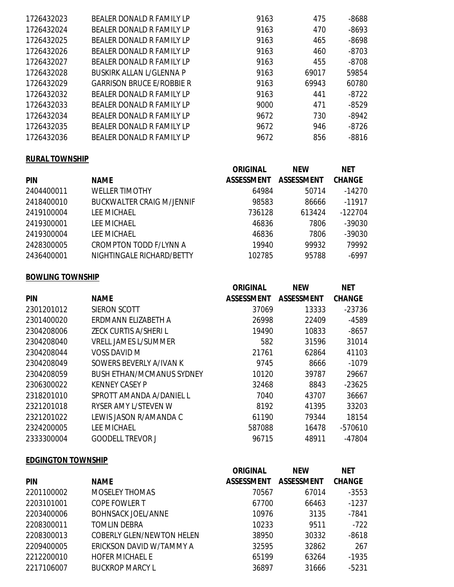| 1726432023 | BEALER DONALD R FAMILY LP        | 9163 | 475   | $-8688$ |
|------------|----------------------------------|------|-------|---------|
| 1726432024 | BEALER DONALD R FAMILY LP        | 9163 | 470   | $-8693$ |
| 1726432025 | BEALER DONALD R FAMILY LP        | 9163 | 465   | $-8698$ |
| 1726432026 | BEALER DONALD R FAMILY LP        | 9163 | 460   | $-8703$ |
| 1726432027 | BEALER DONALD R FAMILY LP        | 9163 | 455   | $-8708$ |
| 1726432028 | BUSKIRK ALLAN L/GLENNA P         | 9163 | 69017 | 59854   |
| 1726432029 | <b>GARRISON BRUCE E/ROBBIE R</b> | 9163 | 69943 | 60780   |
| 1726432032 | BEALER DONALD R FAMILY LP        | 9163 | 441   | $-8722$ |
| 1726432033 | BEALER DONALD R FAMILY LP        | 9000 | 471   | $-8529$ |
| 1726432034 | BEALER DONALD R FAMILY LP        | 9672 | 730   | $-8942$ |
| 1726432035 | BEALER DONALD R FAMILY LP        | 9672 | 946   | $-8726$ |
| 1726432036 | BEALER DONALD R FAMILY LP        | 9672 | 856   | $-8816$ |
|            |                                  |      |       |         |

## **RURAL TOWNSHIP**

|            |                                  | <b>ORIGINAL</b>   | <b>NEW</b>        | <b>NET</b>    |
|------------|----------------------------------|-------------------|-------------------|---------------|
| <b>PIN</b> | <b>NAME</b>                      | <b>ASSESSMENT</b> | <b>ASSESSMENT</b> | <b>CHANGE</b> |
| 2404400011 | <b>WELLER TIMOTHY</b>            | 64984             | 50714             | $-14270$      |
| 2418400010 | <b>BUCKWALTER CRAIG M/JENNIF</b> | 98583             | 86666             | $-11917$      |
| 2419100004 | <b>LEE MICHAEL</b>               | 736128            | 613424            | $-122704$     |
| 2419300001 | <b>LEE MICHAEL</b>               | 46836             | 7806              | $-39030$      |
| 2419300004 | <b>LEE MICHAEL</b>               | 46836             | 7806              | -39030        |
| 2428300005 | <b>CROMPTON TODD F/LYNN A</b>    | 19940             | 99932             | 79992         |
| 2436400001 | NIGHTINGALE RICHARD/BETTY        | 102785            | 95788             | $-6997$       |

### **BOWLING TOWNSHIP**

|            |                                  | <b>ORIGINAL</b>   | <b>NEW</b>        | <b>NET</b>    |
|------------|----------------------------------|-------------------|-------------------|---------------|
| <b>PIN</b> | <b>NAME</b>                      | <b>ASSESSMENT</b> | <b>ASSESSMENT</b> | <b>CHANGE</b> |
| 2301201012 | SIERON SCOTT                     | 37069             | 13333             | -23736        |
| 2301400020 | ERDMANN ELIZABETH A              | 26998             | 22409             | $-4589$       |
| 2304208006 | ZECK CURTIS A/SHERI L            | 19490             | 10833             | $-8657$       |
| 2304208040 | <b>VRELL JAMES L/SUMMER</b>      | 582               | 31596             | 31014         |
| 2304208044 | VOSS DAVID M                     | 21761             | 62864             | 41103         |
| 2304208049 | SOWERS BEVERLY A/IVAN K          | 9745              | 8666              | $-1079$       |
| 2304208059 | <b>BUSH ETHAN/MCMANUS SYDNEY</b> | 10120             | 39787             | 29667         |
| 2306300022 | <b>KENNEY CASEY P</b>            | 32468             | 8843              | $-23625$      |
| 2318201010 | SPROTT AMANDA A/DANIEL L         | 7040              | 43707             | 36667         |
| 2321201018 | RYSER AMY L/STEVEN W             | 8192              | 41395             | 33203         |
| 2321201022 | LEWIS JASON R/AMANDA C           | 61190             | 79344             | 18154         |
| 2324200005 | <b>LEE MICHAEL</b>               | 587088            | 16478             | $-570610$     |
| 2333300004 | <b>GOODELL TREVOR J</b>          | 96715             | 48911             | $-47804$      |

## **EDGINGTON TOWNSHIP**

|            |                                  | <b>ORIGINAL</b> | <b>NEW</b>        | <b>NET</b>    |
|------------|----------------------------------|-----------------|-------------------|---------------|
| <b>PIN</b> | <b>NAME</b>                      | ASSESSMENT      | <b>ASSESSMENT</b> | <b>CHANGE</b> |
| 2201100002 | <b>MOSELEY THOMAS</b>            | 70567           | 67014             | $-3553$       |
| 2203101001 | <b>COPE FOWLER T</b>             | 67700           | 66463             | $-1237$       |
| 2203400006 | <b>BOHNSACK JOEL/ANNE</b>        | 10976           | 3135              | $-7841$       |
| 2208300011 | TOMLIN DEBRA                     | 10233           | 9511              | $-722$        |
| 2208300013 | <b>COBERLY GLEN/NEWTON HELEN</b> | 38950           | 30332             | $-8618$       |
| 2209400005 | ERICKSON DAVID W/TAMMY A         | 32595           | 32862             | 267           |
| 2212200010 | <b>HOFER MICHAEL E</b>           | 65199           | 63264             | $-1935$       |
| 2217106007 | <b>BUCKROP MARCY L</b>           | 36897           | 31666             | $-5231$       |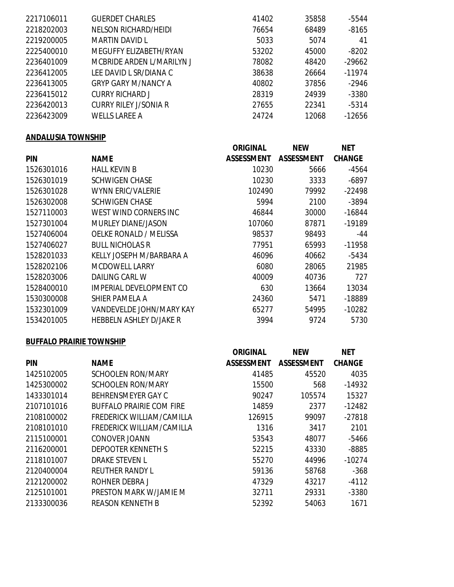| 2217106011 | <b>GUERDET CHARLES</b>     | 41402 | 35858 | $-5544$  |
|------------|----------------------------|-------|-------|----------|
| 2218202003 | NELSON RICHARD/HEIDI       | 76654 | 68489 | $-8165$  |
| 2219200005 | MARTIN DAVID L             | 5033  | 5074  | 41       |
| 2225400010 | MEGUFFY ELIZABETH/RYAN     | 53202 | 45000 | $-8202$  |
| 2236401009 | MCBRIDE ARDEN L/MARILYN J  | 78082 | 48420 | $-29662$ |
| 2236412005 | LEE DAVID L SR/DIANA C     | 38638 | 26664 | $-11974$ |
| 2236413005 | <b>GRYP GARY M/NANCY A</b> | 40802 | 37856 | $-2946$  |
| 2236415012 | <b>CURRY RICHARD J</b>     | 28319 | 24939 | $-3380$  |
| 2236420013 | CURRY RILEY J/SONIA R      | 27655 | 22341 | $-5314$  |
| 2236423009 | <b>WELLS LAREE A</b>       | 24724 | 12068 | $-12656$ |

## **ANDALUSIA TOWNSHIP**

|            |                           | <b>ORIGINAL</b>   | <b>NEW</b>        | <b>NET</b>    |
|------------|---------------------------|-------------------|-------------------|---------------|
| <b>PIN</b> | <b>NAME</b>               | <b>ASSESSMENT</b> | <b>ASSESSMENT</b> | <b>CHANGE</b> |
| 1526301016 | <b>HALL KEVIN B</b>       | 10230             | 5666              | $-4564$       |
| 1526301019 | <b>SCHWIGEN CHASE</b>     | 10230             | 3333              | $-6897$       |
| 1526301028 | <b>WYNN ERIC/VALERIE</b>  | 102490            | 79992             | $-22498$      |
| 1526302008 | <b>SCHWIGEN CHASE</b>     | 5994              | 2100              | $-3894$       |
| 1527110003 | WEST WIND CORNERS INC     | 46844             | 30000             | $-16844$      |
| 1527301004 | <b>MURLEY DIANE/JASON</b> | 107060            | 87871             | $-19189$      |
| 1527406004 | OELKE RONALD / MELISSA    | 98537             | 98493             | -44           |
| 1527406027 | <b>BULL NICHOLAS R</b>    | 77951             | 65993             | $-11958$      |
| 1528201033 | KELLY JOSEPH M/BARBARA A  | 46096             | 40662             | $-5434$       |
| 1528202106 | <b>MCDOWELL LARRY</b>     | 6080              | 28065             | 21985         |
| 1528203006 | <b>DAILING CARL W</b>     | 40009             | 40736             | 727           |
| 1528400010 | IMPERIAL DEVELOPMENT CO   | 630               | 13664             | 13034         |
| 1530300008 | SHIER PAMELA A            | 24360             | 5471              | -18889        |
| 1532301009 | VANDEVELDE JOHN/MARY KAY  | 65277             | 54995             | $-10282$      |
| 1534201005 | HEBBELN ASHLEY D/JAKE R   | 3994              | 9724              | 5730          |
|            |                           |                   |                   |               |

### **BUFFALO PRAIRIE TOWNSHIP**

|            |                                 | <b>ORIGINAL</b>   | <b>NEW</b>        | <b>NET</b>    |
|------------|---------------------------------|-------------------|-------------------|---------------|
| <b>PIN</b> | <b>NAME</b>                     | <b>ASSESSMENT</b> | <b>ASSESSMENT</b> | <b>CHANGE</b> |
| 1425102005 | SCHOOLEN RON/MARY               | 41485             | 45520             | 4035          |
| 1425300002 | <b>SCHOOLEN RON/MARY</b>        | 15500             | 568               | $-14932$      |
| 1433301014 | BEHRENSMEYER GAY C              | 90247             | 105574            | 15327         |
| 2107101016 | <b>BUFFALO PRAIRIE COM FIRE</b> | 14859             | 2377              | $-12482$      |
| 2108100002 | FREDERICK WILLIAM/CAMILLA       | 126915            | 99097             | $-27818$      |
| 2108101010 | FREDERICK WILLIAM/CAMILLA       | 1316              | 3417              | 2101          |
| 2115100001 | CONOVER JOANN                   | 53543             | 48077             | $-5466$       |
| 2116200001 | <b>DEPOOTER KENNETH S</b>       | 52215             | 43330             | $-8885$       |
| 2118101007 | <b>DRAKE STEVEN L</b>           | 55270             | 44996             | $-10274$      |
| 2120400004 | <b>REUTHER RANDY L</b>          | 59136             | 58768             | $-368$        |
| 2121200002 | ROHNER DEBRA J                  | 47329             | 43217             | $-4112$       |
| 2125101001 | PRESTON MARK W/JAMIE M          | 32711             | 29331             | $-3380$       |
| 2133300036 | <b>REASON KENNETH B</b>         | 52392             | 54063             | 1671          |
|            |                                 |                   |                   |               |